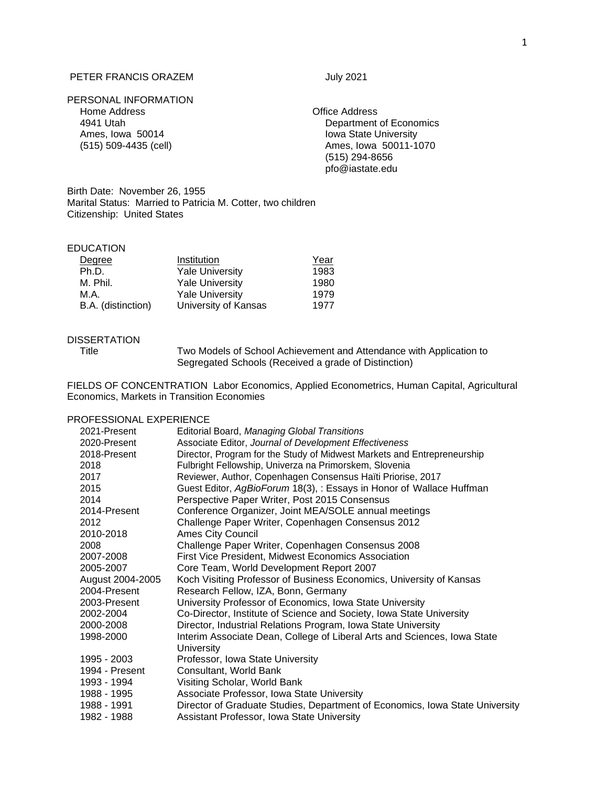# PETER FRANCIS ORAZEM **FRANCIS** ORAZEM

# PERSONAL INFORMATION Home Address Office Address Ames, Iowa 50014 **Iowa State University**

4941 Utah Department of Economics (515) 509-4435 (cell) Ames, Iowa 50011-1070 (515) 294-8656 [pfo@iastate.edu](mailto:pfo@iastate.edu)

Birth Date: November 26, 1955 Marital Status: Married to Patricia M. Cotter, two children Citizenship: United States

# EDUCATION

| Degree             | Institution            | Year |
|--------------------|------------------------|------|
| Ph.D.              | <b>Yale University</b> | 1983 |
| M. Phil.           | <b>Yale University</b> | 1980 |
| M.A.               | <b>Yale University</b> | 1979 |
| B.A. (distinction) | University of Kansas   | 1977 |

## DISSERTATION

Title Two Models of School Achievement and Attendance with Application to Segregated Schools (Received a grade of Distinction)

FIELDS OF CONCENTRATION Labor Economics, Applied Econometrics, Human Capital, Agricultural Economics, Markets in Transition Economies

## PROFESSIONAL EXPERIENCE

| 2021-Present     | Editorial Board, Managing Global Transitions                                 |
|------------------|------------------------------------------------------------------------------|
| 2020-Present     | Associate Editor, Journal of Development Effectiveness                       |
| 2018-Present     | Director, Program for the Study of Midwest Markets and Entrepreneurship      |
| 2018             | Fulbright Fellowship, Univerza na Primorskem, Slovenia                       |
| 2017             | Reviewer, Author, Copenhagen Consensus Haïti Priorise, 2017                  |
| 2015             | Guest Editor, AgBioForum 18(3), : Essays in Honor of Wallace Huffman         |
| 2014             | Perspective Paper Writer, Post 2015 Consensus                                |
| 2014-Present     | Conference Organizer, Joint MEA/SOLE annual meetings                         |
| 2012             | Challenge Paper Writer, Copenhagen Consensus 2012                            |
| 2010-2018        | <b>Ames City Council</b>                                                     |
| 2008             | Challenge Paper Writer, Copenhagen Consensus 2008                            |
| 2007-2008        | First Vice President, Midwest Economics Association                          |
| 2005-2007        | Core Team, World Development Report 2007                                     |
| August 2004-2005 | Koch Visiting Professor of Business Economics, University of Kansas          |
| 2004-Present     | Research Fellow, IZA, Bonn, Germany                                          |
| 2003-Present     | University Professor of Economics, Iowa State University                     |
| 2002-2004        | Co-Director, Institute of Science and Society, Iowa State University         |
| 2000-2008        | Director, Industrial Relations Program, Iowa State University                |
| 1998-2000        | Interim Associate Dean, College of Liberal Arts and Sciences, Iowa State     |
|                  | University                                                                   |
| 1995 - 2003      | Professor, Iowa State University                                             |
| 1994 - Present   | Consultant, World Bank                                                       |
| 1993 - 1994      | Visiting Scholar, World Bank                                                 |
| 1988 - 1995      | Associate Professor, Iowa State University                                   |
| 1988 - 1991      | Director of Graduate Studies, Department of Economics, Iowa State University |
| 1982 - 1988      | Assistant Professor, Iowa State University                                   |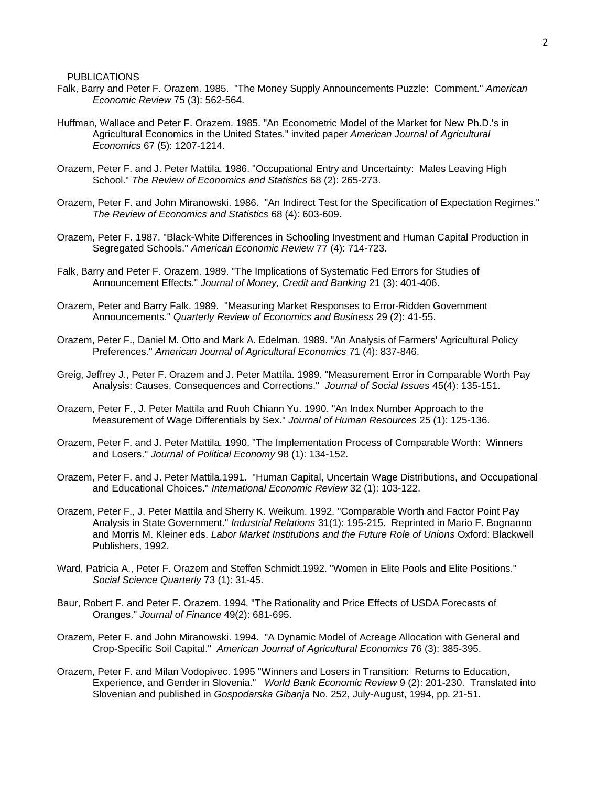PUBLICATIONS

- Falk, Barry and Peter F. Orazem. 1985. "The Money Supply Announcements Puzzle: Comment." *American Economic Review* 75 (3): 562-564.
- Huffman, Wallace and Peter F. Orazem. 1985. "An Econometric Model of the Market for New Ph.D.'s in Agricultural Economics in the United States." invited paper *American Journal of Agricultural Economics* 67 (5): 1207-1214.
- Orazem, Peter F. and J. Peter Mattila. 1986. "Occupational Entry and Uncertainty: Males Leaving High School." *The Review of Economics and Statistics* 68 (2): 265-273.
- Orazem, Peter F. and John Miranowski. 1986. "An Indirect Test for the Specification of Expectation Regimes." *The Review of Economics and Statistics* 68 (4): 603-609.
- Orazem, Peter F. 1987. "Black-White Differences in Schooling Investment and Human Capital Production in Segregated Schools." *American Economic Review* 77 (4): 714-723.
- Falk, Barry and Peter F. Orazem. 1989. "The Implications of Systematic Fed Errors for Studies of Announcement Effects." *Journal of Money, Credit and Banking* 21 (3): 401-406.
- Orazem, Peter and Barry Falk. 1989. "Measuring Market Responses to Error-Ridden Government Announcements." *Quarterly Review of Economics and Business* 29 (2): 41-55.
- Orazem, Peter F., Daniel M. Otto and Mark A. Edelman. 1989. "An Analysis of Farmers' Agricultural Policy Preferences." *American Journal of Agricultural Economics* 71 (4): 837-846.
- Greig, Jeffrey J., Peter F. Orazem and J. Peter Mattila. 1989. "Measurement Error in Comparable Worth Pay Analysis: Causes, Consequences and Corrections." *Journal of Social Issues* 45(4): 135-151.
- Orazem, Peter F., J. Peter Mattila and Ruoh Chiann Yu. 1990. "An Index Number Approach to the Measurement of Wage Differentials by Sex." *Journal of Human Resources* 25 (1): 125-136.
- Orazem, Peter F. and J. Peter Mattila. 1990. "The Implementation Process of Comparable Worth: Winners and Losers." *Journal of Political Economy* 98 (1): 134-152.
- Orazem, Peter F. and J. Peter Mattila.1991. "Human Capital, Uncertain Wage Distributions, and Occupational and Educational Choices." *International Economic Review* 32 (1): 103-122.
- Orazem, Peter F., J. Peter Mattila and Sherry K. Weikum. 1992. "Comparable Worth and Factor Point Pay Analysis in State Government." *Industrial Relations* 31(1): 195-215. Reprinted in Mario F. Bognanno and Morris M. Kleiner eds. *Labor Market Institutions and the Future Role of Unions* Oxford: Blackwell Publishers, 1992.
- Ward, Patricia A., Peter F. Orazem and Steffen Schmidt.1992. "Women in Elite Pools and Elite Positions." *Social Science Quarterly* 73 (1): 31-45.
- Baur, Robert F. and Peter F. Orazem. 1994. "The Rationality and Price Effects of USDA Forecasts of Oranges." *Journal of Finance* 49(2): 681-695.
- Orazem, Peter F. and John Miranowski. 1994. "A Dynamic Model of Acreage Allocation with General and Crop-Specific Soil Capital." *American Journal of Agricultural Economics* 76 (3): 385-395.
- Orazem, Peter F. and Milan Vodopivec. 1995 "Winners and Losers in Transition: Returns to Education, Experience, and Gender in Slovenia." *World Bank Economic Review* 9 (2): 201-230. Translated into Slovenian and published in *Gospodarska Gibanja* No. 252, July-August, 1994, pp. 21-51.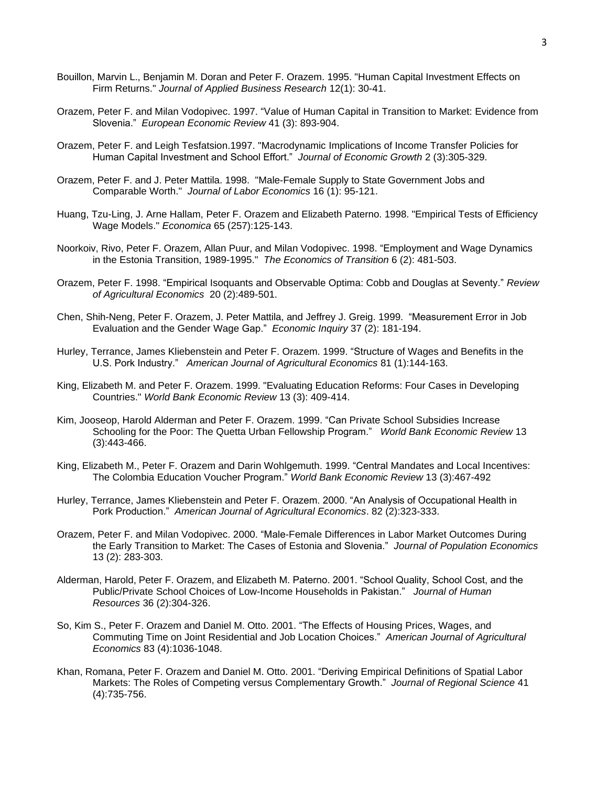- Bouillon, Marvin L., Benjamin M. Doran and Peter F. Orazem. 1995. "Human Capital Investment Effects on Firm Returns." *Journal of Applied Business Research* 12(1): 30-41.
- Orazem, Peter F. and Milan Vodopivec. 1997. "Value of Human Capital in Transition to Market: Evidence from Slovenia." *European Economic Review* 41 (3): 893-904.
- Orazem, Peter F. and Leigh Tesfatsion.1997. "Macrodynamic Implications of Income Transfer Policies for Human Capital Investment and School Effort." *Journal of Economic Growth* 2 (3):305-329.
- Orazem, Peter F. and J. Peter Mattila. 1998. "Male-Female Supply to State Government Jobs and Comparable Worth." *Journal of Labor Economics* 16 (1): 95-121.
- Huang, Tzu-Ling, J. Arne Hallam, Peter F. Orazem and Elizabeth Paterno. 1998. "Empirical Tests of Efficiency Wage Models." *Economica* 65 (257):125-143.
- Noorkoiv, Rivo, Peter F. Orazem, Allan Puur, and Milan Vodopivec. 1998. "Employment and Wage Dynamics in the Estonia Transition, 1989-1995." *The Economics of Transition* 6 (2): 481-503.
- Orazem, Peter F. 1998. "Empirical Isoquants and Observable Optima: Cobb and Douglas at Seventy." *Review of Agricultural Economics* 20 (2):489-501.
- Chen, Shih-Neng, Peter F. Orazem, J. Peter Mattila, and Jeffrey J. Greig. 1999. "Measurement Error in Job Evaluation and the Gender Wage Gap." *Economic Inquiry* 37 (2): 181-194.
- Hurley, Terrance, James Kliebenstein and Peter F. Orazem. 1999. "Structure of Wages and Benefits in the U.S. Pork Industry." *American Journal of Agricultural Economics* 81 (1):144-163.
- King, Elizabeth M. and Peter F. Orazem. 1999. "Evaluating Education Reforms: Four Cases in Developing Countries." *World Bank Economic Review* 13 (3): 409-414.
- Kim, Jooseop, Harold Alderman and Peter F. Orazem. 1999. "Can Private School Subsidies Increase Schooling for the Poor: The Quetta Urban Fellowship Program." *World Bank Economic Review* 13 (3):443-466.
- King, Elizabeth M., Peter F. Orazem and Darin Wohlgemuth. 1999. "Central Mandates and Local Incentives: The Colombia Education Voucher Program." *World Bank Economic Review* 13 (3):467-492
- Hurley, Terrance, James Kliebenstein and Peter F. Orazem. 2000. "An Analysis of Occupational Health in Pork Production." *American Journal of Agricultural Economics*. 82 (2):323-333.
- Orazem, Peter F. and Milan Vodopivec. 2000. "Male-Female Differences in Labor Market Outcomes During the Early Transition to Market: The Cases of Estonia and Slovenia." *Journal of Population Economics* 13 (2): 283-303.
- Alderman, Harold, Peter F. Orazem, and Elizabeth M. Paterno. 2001. "School Quality, School Cost, and the Public/Private School Choices of Low-Income Households in Pakistan." *Journal of Human Resources* 36 (2):304-326.
- So, Kim S., Peter F. Orazem and Daniel M. Otto. 2001. "The Effects of Housing Prices, Wages, and Commuting Time on Joint Residential and Job Location Choices." *American Journal of Agricultural Economics* 83 (4):1036-1048.
- Khan, Romana, Peter F. Orazem and Daniel M. Otto. 2001. "Deriving Empirical Definitions of Spatial Labor Markets: The Roles of Competing versus Complementary Growth." *Journal of Regional Science* 41 (4):735-756.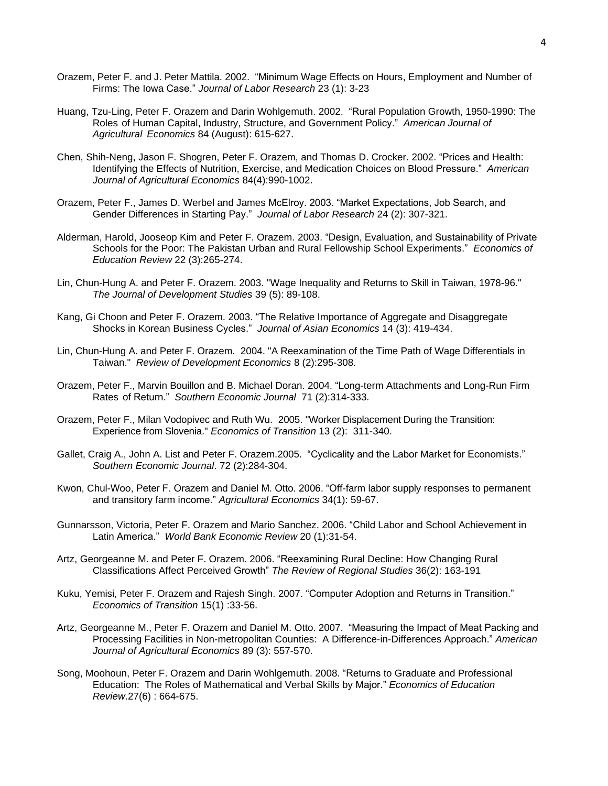- Orazem, Peter F. and J. Peter Mattila. 2002. "Minimum Wage Effects on Hours, Employment and Number of Firms: The Iowa Case." *Journal of Labor Research* 23 (1): 3-23
- Huang, Tzu-Ling, Peter F. Orazem and Darin Wohlgemuth. 2002. "Rural Population Growth, 1950-1990: The Roles of Human Capital, Industry, Structure, and Government Policy." *American Journal of Agricultural Economics* 84 (August): 615-627.
- Chen, Shih-Neng, Jason F. Shogren, Peter F. Orazem, and Thomas D. Crocker. 2002. "Prices and Health: Identifying the Effects of Nutrition, Exercise, and Medication Choices on Blood Pressure." *American Journal of Agricultural Economics* 84(4):990-1002.
- Orazem, Peter F., James D. Werbel and James McElroy. 2003. "Market Expectations, Job Search, and Gender Differences in Starting Pay." *Journal of Labor Research* 24 (2): 307-321.
- Alderman, Harold, Jooseop Kim and Peter F. Orazem. 2003. "Design, Evaluation, and Sustainability of Private Schools for the Poor: The Pakistan Urban and Rural Fellowship School Experiments." *Economics of Education Review* 22 (3):265-274.
- Lin, Chun-Hung A. and Peter F. Orazem. 2003. "Wage Inequality and Returns to Skill in Taiwan, 1978-96." *The Journal of Development Studies* 39 (5): 89-108.
- Kang, Gi Choon and Peter F. Orazem. 2003. "The Relative Importance of Aggregate and Disaggregate Shocks in Korean Business Cycles." *Journal of Asian Economics* 14 (3): 419-434.
- Lin, Chun-Hung A. and Peter F. Orazem. 2004. "A Reexamination of the Time Path of Wage Differentials in Taiwan." *Review of Development Economics* 8 (2):295-308.
- Orazem, Peter F., Marvin Bouillon and B. Michael Doran. 2004. "Long-term Attachments and Long-Run Firm Rates of Return." *Southern Economic Journal* 71 (2):314-333.
- Orazem, Peter F., Milan Vodopivec and Ruth Wu. 2005. "Worker Displacement During the Transition: Experience from Slovenia." *Economics of Transition* 13 (2): 311-340.
- Gallet, Craig A., John A. List and Peter F. Orazem.2005. "Cyclicality and the Labor Market for Economists." *Southern Economic Journal*. 72 (2):284-304.
- Kwon, Chul-Woo, Peter F. Orazem and Daniel M. Otto. 2006. "Off-farm labor supply responses to permanent and transitory farm income." *Agricultural Economics* 34(1): 59-67.
- Gunnarsson, Victoria, Peter F. Orazem and Mario Sanchez. 2006. "Child Labor and School Achievement in Latin America." *World Bank Economic Review* 20 (1):31-54.
- Artz, Georgeanne M. and Peter F. Orazem. 2006. "Reexamining Rural Decline: How Changing Rural Classifications Affect Perceived Growth" *The Review of Regional Studies* 36(2): 163-191
- Kuku, Yemisi, Peter F. Orazem and Rajesh Singh. 2007. "Computer Adoption and Returns in Transition." *Economics of Transition* 15(1) :33-56.
- Artz, Georgeanne M., Peter F. Orazem and Daniel M. Otto. 2007. "Measuring the Impact of Meat Packing and Processing Facilities in Non-metropolitan Counties: A Difference-in-Differences Approach." *American Journal of Agricultural Economics* 89 (3): 557-570.
- Song, Moohoun, Peter F. Orazem and Darin Wohlgemuth. 2008. "Returns to Graduate and Professional Education: The Roles of Mathematical and Verbal Skills by Major." *Economics of Education Review*.27(6) : 664-675.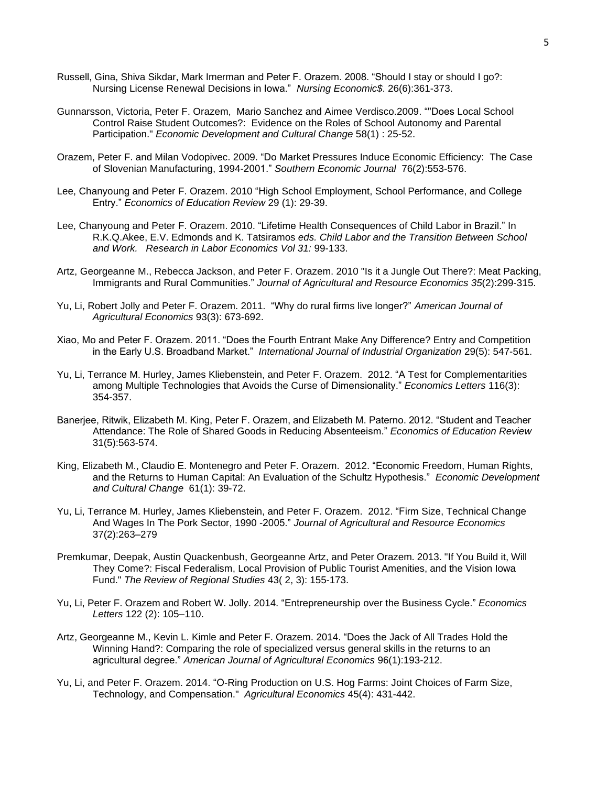- Russell, Gina, Shiva Sikdar, Mark Imerman and Peter F. Orazem. 2008. "Should I stay or should I go?: Nursing License Renewal Decisions in Iowa." *Nursing Economic\$*. 26(6):361-373.
- Gunnarsson, Victoria, Peter F. Orazem, Mario Sanchez and Aimee Verdisco.2009. ""Does Local School Control Raise Student Outcomes?: Evidence on the Roles of School Autonomy and Parental Participation." *Economic Development and Cultural Change* 58(1) : 25-52.
- Orazem, Peter F. and Milan Vodopivec. 2009. "Do Market Pressures Induce Economic Efficiency: The Case of Slovenian Manufacturing, 1994-2001." *Southern Economic Journal* 76(2):553-576.
- Lee, Chanyoung and Peter F. Orazem. 2010 "High School Employment, School Performance, and College Entry." *Economics of Education Review* 29 (1): 29-39.
- Lee, Chanyoung and Peter F. Orazem. 2010. "Lifetime Health Consequences of Child Labor in Brazil." In R.K.Q.Akee, E.V. Edmonds and K. Tatsiramos *eds. Child Labor and the Transition Between School and Work. Research in Labor Economics Vol 31:* 99-133.
- Artz, Georgeanne M., Rebecca Jackson, and Peter F. Orazem. 2010 "Is it a Jungle Out There?: Meat Packing, Immigrants and Rural Communities." *Journal of Agricultural and Resource Economics 35*(2):299-315.
- Yu, Li, Robert Jolly and Peter F. Orazem. 2011. "Why do rural firms live longer?" *American Journal of Agricultural Economics* 93(3): 673-692.
- Xiao, Mo and Peter F. Orazem. 2011. "Does the Fourth Entrant Make Any Difference? Entry and Competition in the Early U.S. Broadband Market." *International Journal of Industrial Organization* 29(5): 547-561.
- Yu, Li, Terrance M. Hurley, James Kliebenstein, and Peter F. Orazem. 2012. "A Test for Complementarities among Multiple Technologies that Avoids the Curse of Dimensionality." *Economics Letters* 116(3): 354-357.
- Banerjee, Ritwik, Elizabeth M. King, Peter F. Orazem, and Elizabeth M. Paterno. 2012. "Student and Teacher Attendance: The Role of Shared Goods in Reducing Absenteeism." *Economics of Education Review* 31(5):563-574.
- King, Elizabeth M., Claudio E. Montenegro and Peter F. Orazem. 2012. "Economic Freedom, Human Rights, and the Returns to Human Capital: An Evaluation of the Schultz Hypothesis." *Economic Development and Cultural Change* 61(1): 39-72.
- Yu, Li, Terrance M. Hurley, James Kliebenstein, and Peter F. Orazem. 2012. "Firm Size, Technical Change And Wages In The Pork Sector, 1990 -2005." *Journal of Agricultural and Resource Economics* 37(2):263–279
- Premkumar, Deepak, Austin Quackenbush, Georgeanne Artz, and Peter Orazem. 2013. "If You Build it, Will They Come?: Fiscal Federalism, Local Provision of Public Tourist Amenities, and the Vision Iowa Fund." *The Review of Regional Studies* 43( 2, 3): 155-173.
- Yu, Li, Peter F. Orazem and Robert W. Jolly. 2014. "Entrepreneurship over the Business Cycle." *Economics Letters* 122 (2): 105–110.
- Artz, Georgeanne M., Kevin L. Kimle and Peter F. Orazem. 2014. "Does the Jack of All Trades Hold the Winning Hand?: Comparing the role of specialized versus general skills in the returns to an agricultural degree." *American Journal of Agricultural Economics* 96(1):193-212.
- Yu, Li, and Peter F. Orazem. 2014. "O-Ring Production on U.S. Hog Farms: Joint Choices of Farm Size, Technology, and Compensation." *Agricultural Economics* 45(4): 431-442.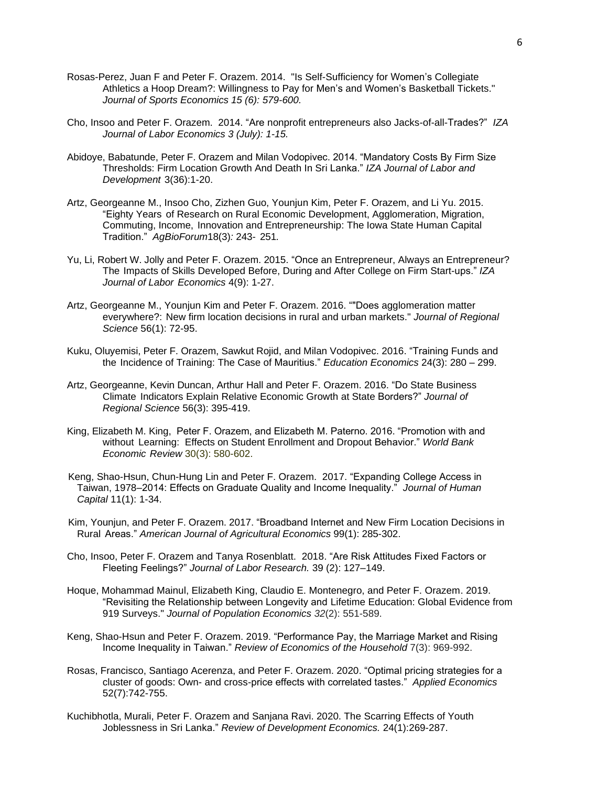- Rosas-Perez, Juan F and Peter F. Orazem. 2014. "Is Self-Sufficiency for Women's Collegiate Athletics a Hoop Dream?: Willingness to Pay for Men's and Women's Basketball Tickets." *Journal of Sports Economics 15 (6): 579-600.*
- Cho, Insoo and Peter F. Orazem. 2014. "Are nonprofit entrepreneurs also Jacks-of-all-Trades?" *IZA Journal of Labor Economics 3 (July): 1-15.*
- Abidoye, Babatunde, Peter F. Orazem and Milan Vodopivec. 2014. "Mandatory Costs By Firm Size Thresholds: Firm Location Growth And Death In Sri Lanka." *IZA Journal of Labor and Development* 3(36):1-20.
- Artz, Georgeanne M., Insoo Cho, Zizhen Guo, Younjun Kim, Peter F. Orazem, and Li Yu. 2015. "Eighty Years of Research on Rural Economic Development, Agglomeration, Migration, Commuting, Income, Innovation and Entrepreneurship: The Iowa State Human Capital Tradition." *AgBioForum*18(3)*:* 243- 251*.*
- Yu, Li, Robert W. Jolly and Peter F. Orazem. 2015. "Once an Entrepreneur, Always an Entrepreneur? The Impacts of Skills Developed Before, During and After College on Firm Start-ups." *IZA Journal of Labor Economics* 4(9): 1-27.
- Artz, Georgeanne M., Younjun Kim and Peter F. Orazem. 2016. ""Does agglomeration matter everywhere?: New firm location decisions in rural and urban markets." *Journal of Regional Science* 56(1): 72-95.
- Kuku, Oluyemisi, Peter F. Orazem, Sawkut Rojid, and Milan Vodopivec. 2016. "Training Funds and the Incidence of Training: The Case of Mauritius." *Education Economics* 24(3): 280 – 299.
- Artz, Georgeanne, Kevin Duncan, Arthur Hall and Peter F. Orazem. 2016. "Do State Business Climate Indicators Explain Relative Economic Growth at State Borders?" *Journal of Regional Science* 56(3): 395-419.
- King, Elizabeth M. King, Peter F. Orazem, and Elizabeth M. Paterno. 2016. "Promotion with and without Learning: Effects on Student Enrollment and Dropout Behavior." *World Bank Economic Review* 30(3): 580-602.
- Keng, Shao-Hsun, Chun-Hung Lin and Peter F. Orazem. 2017. "Expanding College Access in Taiwan, 1978–2014: Effects on Graduate Quality and Income Inequality." *Journal of Human Capital* 11(1): 1-34.
- Kim, Younjun, and Peter F. Orazem. 2017. "Broadband Internet and New Firm Location Decisions in Rural Areas." *American Journal of Agricultural Economics* 99(1): 285-302.
- Cho, Insoo, Peter F. Orazem and Tanya Rosenblatt. 2018. "Are Risk Attitudes Fixed Factors or Fleeting Feelings?" *Journal of Labor Research.* 39 (2): 127–149.
- Hoque, Mohammad Mainul, Elizabeth King, Claudio E. Montenegro, and Peter F. Orazem. 2019. "Revisiting the Relationship between Longevity and Lifetime Education: Global Evidence from 919 Surveys." *Journal of Population Economics 32*(2): 551-589.
- Keng, Shao-Hsun and Peter F. Orazem. 2019. "Performance Pay, the Marriage Market and Rising Income Inequality in Taiwan." *Review of Economics of the Household* 7(3): 969-992.
- Rosas, Francisco, Santiago Acerenza, and Peter F. Orazem. 2020. "Optimal pricing strategies for a cluster of goods: Own- and cross-price effects with correlated tastes." *Applied Economics* 52(7):742-755.
- Kuchibhotla, Murali, Peter F. Orazem and Sanjana Ravi. 2020. The Scarring Effects of Youth Joblessness in Sri Lanka." *Review of Development Economics.* 24(1):269-287.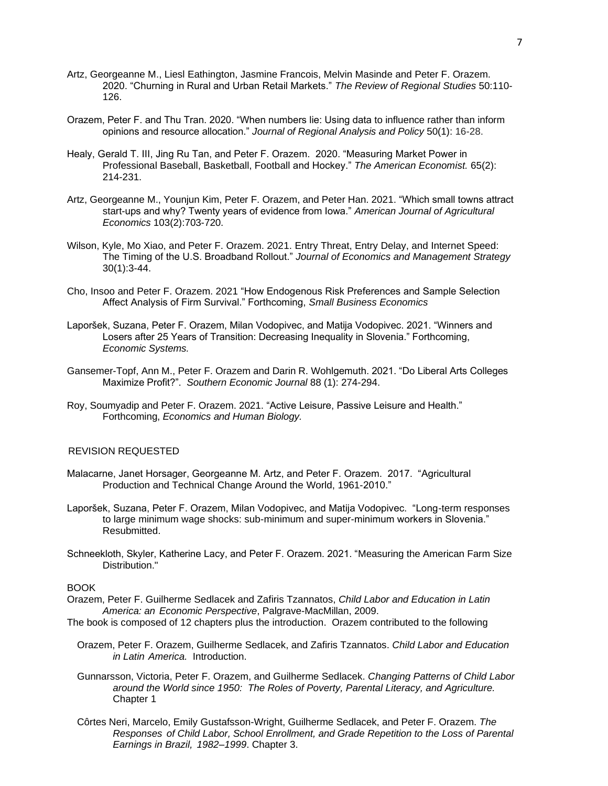- Artz, Georgeanne M., Liesl Eathington, Jasmine Francois, Melvin Masinde and Peter F. Orazem. 2020. "Churning in Rural and Urban Retail Markets." *The Review of Regional Studies* 50:110- 126.
- Orazem, Peter F. and Thu Tran. 2020. "When numbers lie: Using data to influence rather than inform opinions and resource allocation." *Journal of Regional Analysis and Policy* 50(1): 16-28.
- Healy, Gerald T. III, Jing Ru Tan, and Peter F. Orazem. 2020. "Measuring Market Power in Professional Baseball, Basketball, Football and Hockey." *The American Economist.* 65(2): 214-231.
- Artz, Georgeanne M., Younjun Kim, Peter F. Orazem, and Peter Han. 2021. "Which small towns attract start-ups and why? Twenty years of evidence from Iowa." *American Journal of Agricultural Economics* 103(2):703-720.
- Wilson, Kyle, Mo Xiao, and Peter F. Orazem. 2021. Entry Threat, Entry Delay, and Internet Speed: The Timing of the U.S. Broadband Rollout." *Journal of Economics and Management Strategy* 30(1):3-44.
- Cho, Insoo and Peter F. Orazem. 2021 "How Endogenous Risk Preferences and Sample Selection Affect Analysis of Firm Survival." Forthcoming, *Small Business Economics*
- Laporšek, Suzana, Peter F. Orazem, Milan Vodopivec, and Matija Vodopivec. 2021. "Winners and Losers after 25 Years of Transition: Decreasing Inequality in Slovenia." Forthcoming, *Economic Systems.*
- Gansemer-Topf, Ann M., Peter F. Orazem and Darin R. Wohlgemuth. 2021. "Do Liberal Arts Colleges Maximize Profit?". *Southern Economic Journal* 88 (1): 274-294.
- Roy, Soumyadip and Peter F. Orazem. 2021. "Active Leisure, Passive Leisure and Health." Forthcoming, *Economics and Human Biology.*

## REVISION REQUESTED

- Malacarne, Janet Horsager, Georgeanne M. Artz, and Peter F. Orazem. 2017. "Agricultural Production and Technical Change Around the World, 1961-2010."
- Laporšek, Suzana, Peter F. Orazem, Milan Vodopivec, and Matija Vodopivec. "Long-term responses to large minimum wage shocks: sub-minimum and super-minimum workers in Slovenia." Resubmitted.
- Schneekloth, Skyler, Katherine Lacy, and Peter F. Orazem. 2021. "Measuring the American Farm Size Distribution."

#### **BOOK**

- Orazem, Peter F. Guilherme Sedlacek and Zafiris Tzannatos, *Child Labor and Education in Latin America: an Economic Perspective*, Palgrave-MacMillan, 2009.
- The book is composed of 12 chapters plus the introduction. Orazem contributed to the following
	- Orazem, Peter F. Orazem, Guilherme Sedlacek, and Zafiris Tzannatos. *Child Labor and Education in Latin America.* Introduction.
	- Gunnarsson, Victoria, Peter F. Orazem, and Guilherme Sedlacek. *Changing Patterns of Child Labor around the World since 1950: The Roles of Poverty, Parental Literacy, and Agriculture.*  Chapter 1
	- Côrtes Neri, Marcelo, Emily Gustafsson-Wright, Guilherme Sedlacek, and Peter F. Orazem. *The Responses of Child Labor, School Enrollment, and Grade Repetition to the Loss of Parental Earnings in Brazil, 1982–1999*. Chapter 3.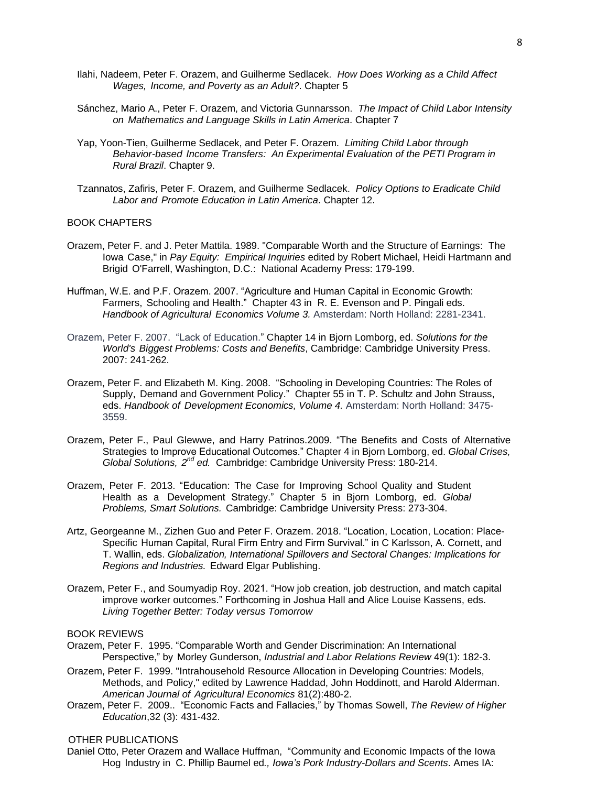- Ilahi, Nadeem, Peter F. Orazem, and Guilherme Sedlacek. *How Does Working as a Child Affect Wages, Income, and Poverty as an Adult?*. Chapter 5
- Sánchez, Mario A., Peter F. Orazem, and Victoria Gunnarsson. *The Impact of Child Labor Intensity on Mathematics and Language Skills in Latin America*. Chapter 7
- Yap, Yoon-Tien, Guilherme Sedlacek, and Peter F. Orazem. *Limiting Child Labor through Behavior-based Income Transfers: An Experimental Evaluation of the PETI Program in Rural Brazil*. Chapter 9.
- Tzannatos, Zafiris, Peter F. Orazem, and Guilherme Sedlacek. *Policy Options to Eradicate Child Labor and Promote Education in Latin America*. Chapter 12.

#### BOOK CHAPTERS

- Orazem, Peter F. and J. Peter Mattila. 1989. "Comparable Worth and the Structure of Earnings: The Iowa Case," in *Pay Equity: Empirical Inquiries* edited by Robert Michael, Heidi Hartmann and Brigid O'Farrell, Washington, D.C.: National Academy Press: 179-199.
- Huffman, W.E. and P.F. Orazem. 2007. "Agriculture and Human Capital in Economic Growth: Farmers, Schooling and Health." Chapter 43 in R. E. Evenson and P. Pingali eds. *Handbook of Agricultural Economics Volume 3.* Amsterdam: North Holland: 2281-2341.
- Orazem, Peter F. 2007. "Lack of Education." Chapter 14 in Bjorn Lomborg, ed. *Solutions for the World's Biggest Problems: Costs and Benefits*, Cambridge: Cambridge University Press. 2007: 241-262.
- Orazem, Peter F. and Elizabeth M. King. 2008. "Schooling in Developing Countries: The Roles of Supply, Demand and Government Policy." Chapter 55 in T. P. Schultz and John Strauss, eds. *Handbook of Development Economics, Volume 4.* Amsterdam: North Holland: 3475- 3559.
- Orazem, Peter F., Paul Glewwe, and Harry Patrinos.2009. "The Benefits and Costs of Alternative Strategies to Improve Educational Outcomes." Chapter 4 in Bjorn Lomborg, ed. *Global Crises, Global Solutions, 2 nd ed.* Cambridge: Cambridge University Press: 180-214.
- Orazem, Peter F. 2013. "Education: The Case for Improving School Quality and Student Health as a Development Strategy." Chapter 5 in Bjorn Lomborg, ed. *Global Problems, Smart Solutions.* Cambridge: Cambridge University Press: 273-304.
- Artz, Georgeanne M., Zizhen Guo and Peter F. Orazem. 2018. "Location, Location, Location: Place-Specific Human Capital, Rural Firm Entry and Firm Survival." in C Karlsson, A. Cornett, and T. Wallin, eds. *Globalization, International Spillovers and Sectoral Changes: Implications for Regions and Industries.* Edward Elgar Publishing.
- Orazem, Peter F., and Soumyadip Roy. 2021. "How job creation, job destruction, and match capital improve worker outcomes." Forthcoming in Joshua Hall and Alice Louise Kassens, eds. *Living Together Better: Today versus Tomorrow*

## BOOK REVIEWS

- Orazem, Peter F. 1995. "Comparable Worth and Gender Discrimination: An International Perspective," by Morley Gunderson, *Industrial and Labor Relations Review* 49(1): 182-3.
- Orazem, Peter F. 1999. "Intrahousehold Resource Allocation in Developing Countries: Models, Methods, and Policy," edited by Lawrence Haddad, John Hoddinott, and Harold Alderman. *American Journal of Agricultural Economics* 81(2):480-2.
- Orazem, Peter F. 2009.. "Economic Facts and Fallacies," by Thomas Sowell, *The Review of Higher Education*,32 (3): 431-432.

## OTHER PUBLICATIONS

Daniel Otto, Peter Orazem and Wallace Huffman, "Community and Economic Impacts of the Iowa Hog Industry in C. Phillip Baumel ed*., Iowa's Pork Industry-Dollars and Scents*. Ames IA: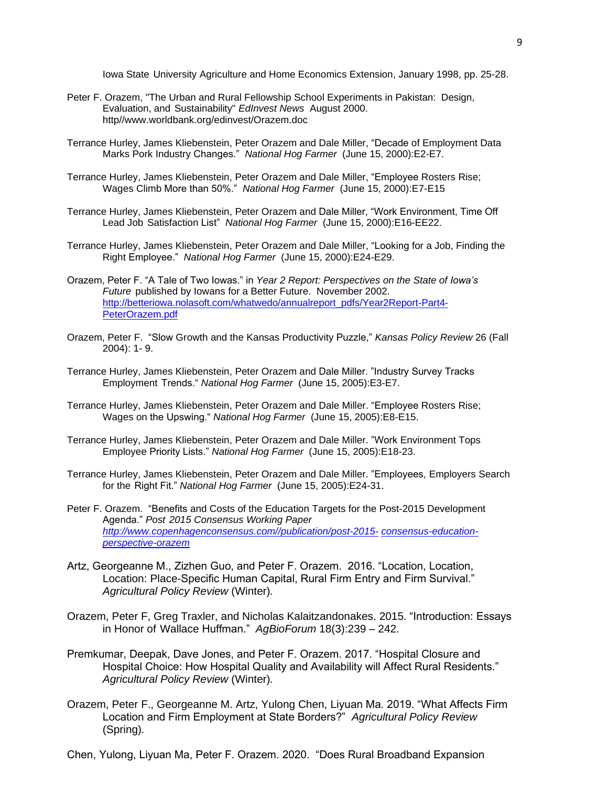Iowa State University Agriculture and Home Economics Extension, January 1998, pp. 25-28.

- Peter F. Orazem, "The Urban and Rural Fellowship School Experiments in Pakistan: Design, Evaluation, and Sustainability" *EdInvest News* August 2000. [http//www.worldbank.org/edinvest/Orazem.doc](http://www.worldbank.org/edinvest/Orazem.doc)
- Terrance Hurley, James Kliebenstein, Peter Orazem and Dale Miller, "Decade of Employment Data Marks Pork Industry Changes." *National Hog Farmer* (June 15, 2000):E2-E7.
- Terrance Hurley, James Kliebenstein, Peter Orazem and Dale Miller, "Employee Rosters Rise; Wages Climb More than 50%." *National Hog Farmer* (June 15, 2000):E7-E15
- Terrance Hurley, James Kliebenstein, Peter Orazem and Dale Miller, "Work Environment, Time Off Lead Job Satisfaction List" *National Hog Farmer* (June 15, 2000):E16-EE22.
- Terrance Hurley, James Kliebenstein, Peter Orazem and Dale Miller, "Looking for a Job, Finding the Right Employee." *National Hog Farmer* (June 15, 2000):E24-E29.
- Orazem, Peter F. "A Tale of Two Iowas." in *Year 2 Report: Perspectives on the State of Iowa's Future* published by Iowans for a Better Future. November 2002. [http://betteriowa.nolasoft.com/whatwedo/annualreport\\_pdfs/Year2Report-Part4-](http://betteriowa.nolasoft.com/whatwedo/annualreport_pdfs/Year2Report-Part4-PeterOrazem.pdf) [PeterOrazem.pdf](http://betteriowa.nolasoft.com/whatwedo/annualreport_pdfs/Year2Report-Part4-PeterOrazem.pdf)
- Orazem, Peter F. "Slow Growth and the Kansas Productivity Puzzle," *Kansas Policy Review* 26 (Fall 2004): 1- 9.
- Terrance Hurley, James Kliebenstein, Peter Orazem and Dale Miller. "Industry Survey Tracks Employment Trends." *National Hog Farmer* (June 15, 2005):E3-E7.
- Terrance Hurley, James Kliebenstein, Peter Orazem and Dale Miller. "Employee Rosters Rise; Wages on the Upswing." *National Hog Farmer* (June 15, 2005):E8-E15.
- Terrance Hurley, James Kliebenstein, Peter Orazem and Dale Miller. "Work Environment Tops Employee Priority Lists." *National Hog Farmer* (June 15, 2005):E18-23.
- Terrance Hurley, James Kliebenstein, Peter Orazem and Dale Miller. "Employees, Employers Search for the Right Fit." *National Hog Farmer* (June 15, 2005):E24-31.
- Peter F. Orazem. "Benefits and Costs of the Education Targets for the Post-2015 Development Agenda." *Post 2015 Consensus Working Paper [http://www.copenhagenconsensus.com//publication/post-2015-](http://www.copenhagenconsensus.com/publication/post-2015-) consensus-educationperspective-orazem*
- Artz, Georgeanne M., Zizhen Guo, and Peter F. Orazem. 2016. "Location, Location, Location: Place-Specific Human Capital, Rural Firm Entry and Firm Survival." *Agricultural Policy Review* (Winter)*.*
- Orazem, Peter F, Greg Traxler, and Nicholas Kalaitzandonakes. 2015. "Introduction: Essays in Honor of Wallace Huffman." *AgBioForum* 18(3):239 – 242.
- Premkumar, Deepak, Dave Jones, and Peter F. Orazem. 2017. "Hospital Closure and Hospital Choice: How Hospital Quality and Availability will Affect Rural Residents." *Agricultural Policy Review* (Winter)*.*
- Orazem, Peter F., Georgeanne M. Artz, Yulong Chen, Liyuan Ma. 2019. "What Affects Firm Location and Firm Employment at State Borders?" *Agricultural Policy Review*  (Spring)*.*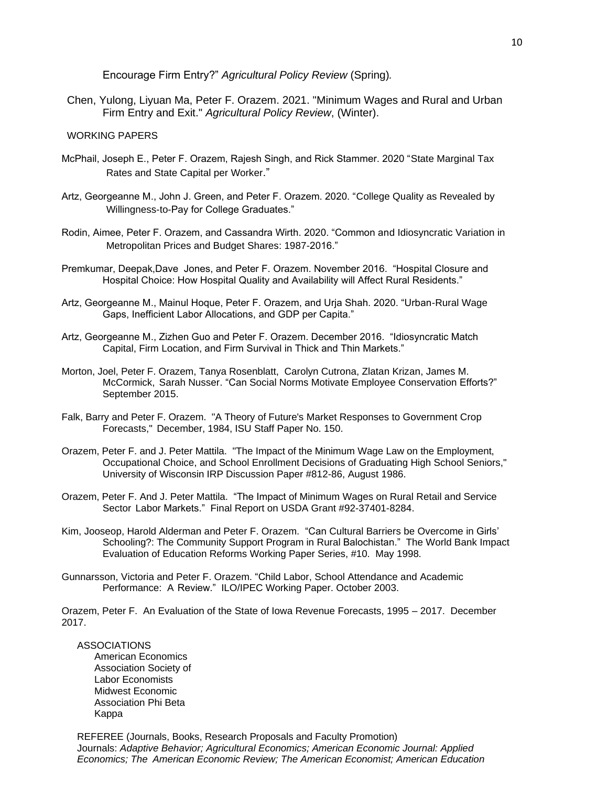Encourage Firm Entry?" *Agricultural Policy Review* (Spring)*.*

Chen, Yulong, Liyuan Ma, Peter F. Orazem. 2021. "Minimum Wages and Rural and Urban Firm Entry and Exit." *Agricultural Policy Review*, (Winter).

### WORKING PAPERS

- McPhail, Joseph E., Peter F. Orazem, Rajesh Singh, and Rick Stammer. 2020 "State Marginal Tax Rates and State Capital per Worker."
- Artz, Georgeanne M., John J. Green, and Peter F. Orazem. 2020. "College Quality as Revealed by Willingness-to-Pay for College Graduates."
- Rodin, Aimee, Peter F. Orazem, and Cassandra Wirth. 2020. "Common and Idiosyncratic Variation in Metropolitan Prices and Budget Shares: 1987-2016."
- Premkumar, Deepak,Dave Jones, and Peter F. Orazem. November 2016. "Hospital Closure and Hospital Choice: How Hospital Quality and Availability will Affect Rural Residents."
- Artz, Georgeanne M., Mainul Hoque, Peter F. Orazem, and Urja Shah. 2020. "Urban-Rural Wage Gaps, Inefficient Labor Allocations, and GDP per Capita."
- Artz, Georgeanne M., Zizhen Guo and Peter F. Orazem. December 2016. "Idiosyncratic Match Capital, Firm Location, and Firm Survival in Thick and Thin Markets."
- Morton, Joel, Peter F. Orazem, Tanya Rosenblatt, Carolyn Cutrona, Zlatan Krizan, James M. McCormick, Sarah Nusser. "Can Social Norms Motivate Employee Conservation Efforts?" September 2015.
- Falk, Barry and Peter F. Orazem. "A Theory of Future's Market Responses to Government Crop Forecasts," December, 1984, ISU Staff Paper No. 150.
- Orazem, Peter F. and J. Peter Mattila. "The Impact of the Minimum Wage Law on the Employment, Occupational Choice, and School Enrollment Decisions of Graduating High School Seniors," University of Wisconsin IRP Discussion Paper #812-86, August 1986.
- Orazem, Peter F. And J. Peter Mattila. "The Impact of Minimum Wages on Rural Retail and Service Sector Labor Markets." Final Report on USDA Grant #92-37401-8284.
- Kim, Jooseop, Harold Alderman and Peter F. Orazem. "Can Cultural Barriers be Overcome in Girls' Schooling?: The Community Support Program in Rural Balochistan." The World Bank Impact Evaluation of Education Reforms Working Paper Series, #10. May 1998.
- Gunnarsson, Victoria and Peter F. Orazem. "Child Labor, School Attendance and Academic Performance: A Review." ILO/IPEC Working Paper. October 2003.

Orazem, Peter F. An Evaluation of the State of Iowa Revenue Forecasts, 1995 – 2017. December 2017.

### ASSOCIATIONS

American Economics Association Society of Labor Economists Midwest Economic Association Phi Beta Kappa

REFEREE (Journals, Books, Research Proposals and Faculty Promotion) Journals: *Adaptive Behavior; Agricultural Economics; American Economic Journal: Applied Economics; The American Economic Review; The American Economist; American Education*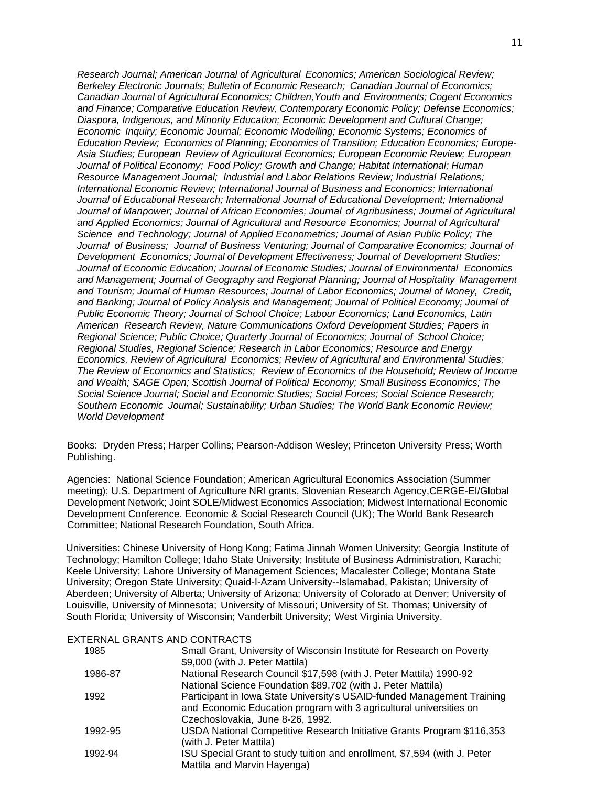*Research Journal; American Journal of Agricultural Economics; American Sociological Review; Berkeley Electronic Journals; Bulletin of Economic Research; Canadian Journal of Economics; Canadian Journal of Agricultural Economics; Children,Youth and Environments; Cogent Economics and Finance; Comparative Education Review, Contemporary Economic Policy; Defense Economics; Diaspora, Indigenous, and Minority Education; Economic Development and Cultural Change; Economic Inquiry; Economic Journal; Economic Modelling; Economic Systems; Economics of Education Review; Economics of Planning; Economics of Transition; Education Economics; Europe-Asia Studies; European Review of Agricultural Economics; European Economic Review; European Journal of Political Economy; Food Policy; Growth and Change; Habitat International; Human Resource Management Journal; Industrial and Labor Relations Review; Industrial Relations; International Economic Review; International Journal of Business and Economics; International Journal of Educational Research; International Journal of Educational Development; International Journal of Manpower; Journal of African Economies; Journal of Agribusiness; Journal of Agricultural and Applied Economics; Journal of Agricultural and Resource Economics; Journal of Agricultural Science and Technology; Journal of Applied Econometrics; Journal of Asian Public Policy; The Journal of Business; Journal of Business Venturing; Journal of Comparative Economics; Journal of Development Economics; Journal of Development Effectiveness; Journal of Development Studies; Journal of Economic Education; Journal of Economic Studies; Journal of Environmental Economics and Management; Journal of Geography and Regional Planning; Journal of Hospitality Management and Tourism; Journal of Human Resources; Journal of Labor Economics; Journal of Money, Credit, and Banking; Journal of Policy Analysis and Management; Journal of Political Economy; Journal of Public Economic Theory; Journal of School Choice; Labour Economics; Land Economics, Latin American Research Review, Nature Communications Oxford Development Studies; Papers in Regional Science; Public Choice; Quarterly Journal of Economics; Journal of School Choice; Regional Studies, Regional Science; Research in Labor Economics; Resource and Energy Economics, Review of Agricultural Economics; Review of Agricultural and Environmental Studies; The Review of Economics and Statistics; Review of Economics of the Household; Review of Income and Wealth; SAGE Open; Scottish Journal of Political Economy; Small Business Economics; The Social Science Journal; Social and Economic Studies; Social Forces; Social Science Research; Southern Economic Journal; Sustainability; Urban Studies; The World Bank Economic Review; World Development*

Books: Dryden Press; Harper Collins; Pearson-Addison Wesley; Princeton University Press; Worth Publishing.

Agencies: National Science Foundation; American Agricultural Economics Association (Summer meeting); U.S. Department of Agriculture NRI grants, Slovenian Research Agency,CERGE-EI/Global Development Network; Joint SOLE/Midwest Economics Association; Midwest International Economic Development Conference. Economic & Social Research Council (UK); The World Bank Research Committee; National Research Foundation, South Africa.

Universities: Chinese University of Hong Kong; Fatima Jinnah Women University; Georgia Institute of Technology; Hamilton College; Idaho State University; Institute of Business Administration, Karachi; Keele University; Lahore University of Management Sciences; Macalester College; Montana State University; Oregon State University; Quaid-I-Azam University--Islamabad, Pakistan; University of Aberdeen; University of Alberta; University of Arizona; University of Colorado at Denver; University of Louisville, University of Minnesota; University of Missouri; University of St. Thomas; University of South Florida; University of Wisconsin; Vanderbilt University; West Virginia University.

## EXTERNAL GRANTS AND CONTRACTS

| 1985    | Small Grant, University of Wisconsin Institute for Research on Poverty    |
|---------|---------------------------------------------------------------------------|
|         | \$9,000 (with J. Peter Mattila)                                           |
| 1986-87 | National Research Council \$17,598 (with J. Peter Mattila) 1990-92        |
|         | National Science Foundation \$89,702 (with J. Peter Mattila)              |
| 1992    | Participant in Iowa State University's USAID-funded Management Training   |
|         | and Economic Education program with 3 agricultural universities on        |
|         | Czechoslovakia, June 8-26, 1992.                                          |
| 1992-95 | USDA National Competitive Research Initiative Grants Program \$116,353    |
|         | (with J. Peter Mattila)                                                   |
| 1992-94 | ISU Special Grant to study tuition and enrollment, \$7,594 (with J. Peter |
|         | Mattila and Marvin Hayenga)                                               |
|         |                                                                           |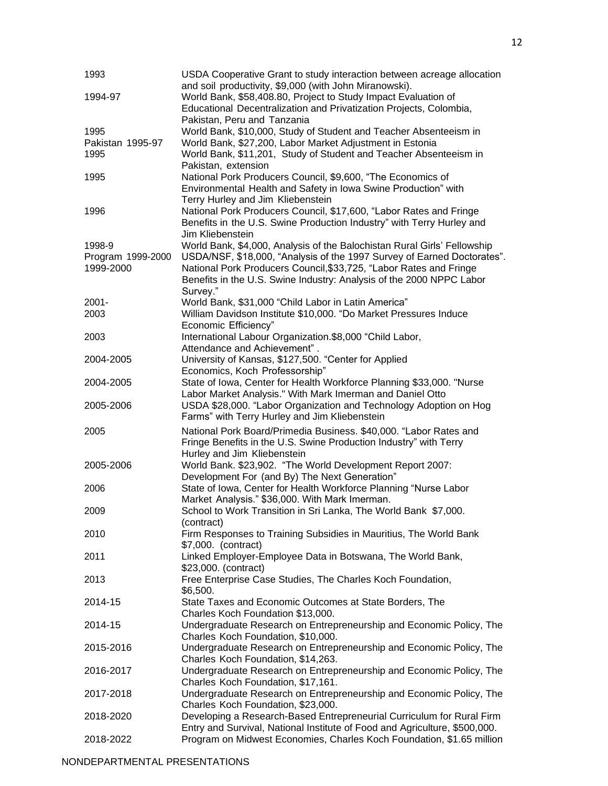| 1993              | USDA Cooperative Grant to study interaction between acreage allocation     |
|-------------------|----------------------------------------------------------------------------|
|                   | and soil productivity, \$9,000 (with John Miranowski).                     |
| 1994-97           | World Bank, \$58,408.80, Project to Study Impact Evaluation of             |
|                   | Educational Decentralization and Privatization Projects, Colombia,         |
|                   | Pakistan, Peru and Tanzania                                                |
| 1995              | World Bank, \$10,000, Study of Student and Teacher Absenteeism in          |
| Pakistan 1995-97  | World Bank, \$27,200, Labor Market Adjustment in Estonia                   |
| 1995              | World Bank, \$11,201, Study of Student and Teacher Absenteeism in          |
|                   | Pakistan, extension                                                        |
| 1995              | National Pork Producers Council, \$9,600, "The Economics of                |
|                   | Environmental Health and Safety in Iowa Swine Production" with             |
|                   | Terry Hurley and Jim Kliebenstein                                          |
| 1996              | National Pork Producers Council, \$17,600, "Labor Rates and Fringe         |
|                   | Benefits in the U.S. Swine Production Industry" with Terry Hurley and      |
|                   | Jim Kliebenstein                                                           |
| 1998-9            | World Bank, \$4,000, Analysis of the Balochistan Rural Girls' Fellowship   |
| Program 1999-2000 | USDA/NSF, \$18,000, "Analysis of the 1997 Survey of Earned Doctorates".    |
| 1999-2000         | National Pork Producers Council, \$33,725, "Labor Rates and Fringe         |
|                   | Benefits in the U.S. Swine Industry: Analysis of the 2000 NPPC Labor       |
|                   | Survey."                                                                   |
| $2001 -$          | World Bank, \$31,000 "Child Labor in Latin America"                        |
| 2003              | William Davidson Institute \$10,000. "Do Market Pressures Induce           |
|                   | Economic Efficiency"                                                       |
| 2003              | International Labour Organization.\$8,000 "Child Labor,                    |
|                   | Attendance and Achievement".                                               |
| 2004-2005         | University of Kansas, \$127,500. "Center for Applied                       |
|                   | Economics, Koch Professorship"                                             |
| 2004-2005         | State of Iowa, Center for Health Workforce Planning \$33,000. "Nurse       |
|                   | Labor Market Analysis." With Mark Imerman and Daniel Otto                  |
| 2005-2006         | USDA \$28,000. "Labor Organization and Technology Adoption on Hog          |
|                   | Farms" with Terry Hurley and Jim Kliebenstein                              |
| 2005              | National Pork Board/Primedia Business. \$40,000. "Labor Rates and          |
|                   | Fringe Benefits in the U.S. Swine Production Industry" with Terry          |
|                   | Hurley and Jim Kliebenstein                                                |
| 2005-2006         | World Bank. \$23,902. "The World Development Report 2007:                  |
|                   | Development For (and By) The Next Generation"                              |
| 2006              | State of Iowa, Center for Health Workforce Planning "Nurse Labor           |
|                   | Market Analysis." \$36,000. With Mark Imerman.                             |
| 2009              | School to Work Transition in Sri Lanka, The World Bank \$7,000.            |
|                   | (contract)                                                                 |
| 2010              | Firm Responses to Training Subsidies in Mauritius, The World Bank          |
|                   | \$7,000. (contract)                                                        |
| 2011              | Linked Employer-Employee Data in Botswana, The World Bank,                 |
|                   | \$23,000. (contract)                                                       |
| 2013              | Free Enterprise Case Studies, The Charles Koch Foundation,                 |
|                   | \$6,500.                                                                   |
| 2014-15           | State Taxes and Economic Outcomes at State Borders, The                    |
|                   | Charles Koch Foundation \$13,000.                                          |
| 2014-15           | Undergraduate Research on Entrepreneurship and Economic Policy, The        |
|                   | Charles Koch Foundation, \$10,000.                                         |
| 2015-2016         | Undergraduate Research on Entrepreneurship and Economic Policy, The        |
|                   | Charles Koch Foundation, \$14,263.                                         |
| 2016-2017         | Undergraduate Research on Entrepreneurship and Economic Policy, The        |
|                   | Charles Koch Foundation, \$17,161.                                         |
| 2017-2018         | Undergraduate Research on Entrepreneurship and Economic Policy, The        |
|                   | Charles Koch Foundation, \$23,000.                                         |
| 2018-2020         | Developing a Research-Based Entrepreneurial Curriculum for Rural Firm      |
|                   | Entry and Survival, National Institute of Food and Agriculture, \$500,000. |
| 2018-2022         | Program on Midwest Economies, Charles Koch Foundation, \$1.65 million      |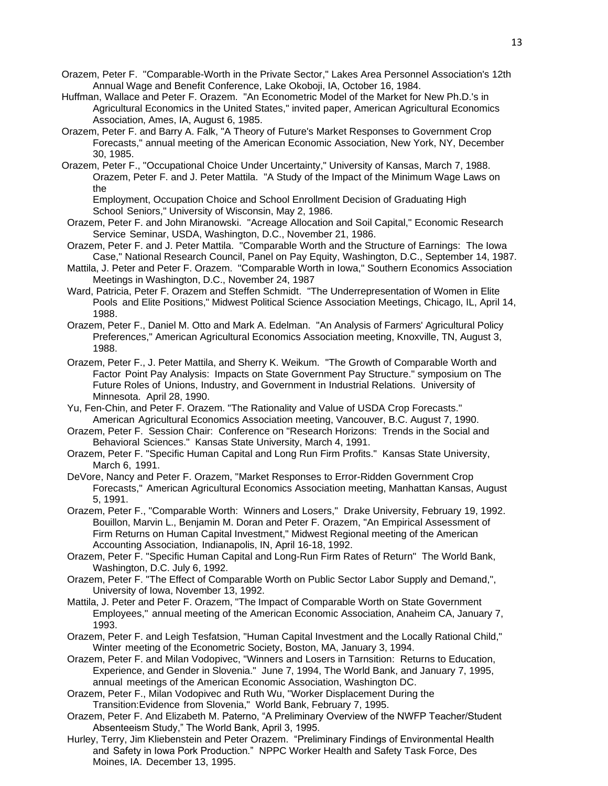- Orazem, Peter F. "Comparable-Worth in the Private Sector," Lakes Area Personnel Association's 12th Annual Wage and Benefit Conference, Lake Okoboji, IA, October 16, 1984.
- Huffman, Wallace and Peter F. Orazem. "An Econometric Model of the Market for New Ph.D.'s in Agricultural Economics in the United States," invited paper, American Agricultural Economics Association, Ames, IA, August 6, 1985.
- Orazem, Peter F. and Barry A. Falk, "A Theory of Future's Market Responses to Government Crop Forecasts," annual meeting of the American Economic Association, New York, NY, December 30, 1985.
- Orazem, Peter F., "Occupational Choice Under Uncertainty," University of Kansas, March 7, 1988. Orazem, Peter F. and J. Peter Mattila. "A Study of the Impact of the Minimum Wage Laws on the

Employment, Occupation Choice and School Enrollment Decision of Graduating High School Seniors," University of Wisconsin, May 2, 1986.

- Orazem, Peter F. and John Miranowski. "Acreage Allocation and Soil Capital," Economic Research Service Seminar, USDA, Washington, D.C., November 21, 1986.
- Orazem, Peter F. and J. Peter Mattila. "Comparable Worth and the Structure of Earnings: The Iowa Case," National Research Council, Panel on Pay Equity, Washington, D.C., September 14, 1987.
- Mattila, J. Peter and Peter F. Orazem. "Comparable Worth in Iowa," Southern Economics Association Meetings in Washington, D.C., November 24, 1987
- Ward, Patricia, Peter F. Orazem and Steffen Schmidt. "The Underrepresentation of Women in Elite Pools and Elite Positions," Midwest Political Science Association Meetings, Chicago, IL, April 14, 1988.
- Orazem, Peter F., Daniel M. Otto and Mark A. Edelman. "An Analysis of Farmers' Agricultural Policy Preferences," American Agricultural Economics Association meeting, Knoxville, TN, August 3, 1988.
- Orazem, Peter F., J. Peter Mattila, and Sherry K. Weikum. "The Growth of Comparable Worth and Factor Point Pay Analysis: Impacts on State Government Pay Structure." symposium on The Future Roles of Unions, Industry, and Government in Industrial Relations. University of Minnesota. April 28, 1990.
- Yu, Fen-Chin, and Peter F. Orazem. "The Rationality and Value of USDA Crop Forecasts." American Agricultural Economics Association meeting, Vancouver, B.C. August 7, 1990.
- Orazem, Peter F. Session Chair: Conference on "Research Horizons: Trends in the Social and Behavioral Sciences." Kansas State University, March 4, 1991.
- Orazem, Peter F. "Specific Human Capital and Long Run Firm Profits." Kansas State University, March 6, 1991.
- DeVore, Nancy and Peter F. Orazem, "Market Responses to Error-Ridden Government Crop Forecasts," American Agricultural Economics Association meeting, Manhattan Kansas, August 5, 1991.
- Orazem, Peter F., "Comparable Worth: Winners and Losers," Drake University, February 19, 1992. Bouillon, Marvin L., Benjamin M. Doran and Peter F. Orazem, "An Empirical Assessment of Firm Returns on Human Capital Investment," Midwest Regional meeting of the American Accounting Association, Indianapolis, IN, April 16-18, 1992.
- Orazem, Peter F. "Specific Human Capital and Long-Run Firm Rates of Return" The World Bank, Washington, D.C. July 6, 1992.
- Orazem, Peter F. "The Effect of Comparable Worth on Public Sector Labor Supply and Demand,", University of Iowa, November 13, 1992.
- Mattila, J. Peter and Peter F. Orazem, "The Impact of Comparable Worth on State Government Employees," annual meeting of the American Economic Association, Anaheim CA, January 7, 1993.
- Orazem, Peter F. and Leigh Tesfatsion, "Human Capital Investment and the Locally Rational Child," Winter meeting of the Econometric Society, Boston, MA, January 3, 1994.
- Orazem, Peter F. and Milan Vodopivec, "Winners and Losers in Tarnsition: Returns to Education, Experience, and Gender in Slovenia." June 7, 1994, The World Bank, and January 7, 1995, annual meetings of the American Economic Association, Washington DC.
- Orazem, Peter F., Milan Vodopivec and Ruth Wu, "Worker Displacement During the Transition:Evidence from Slovenia," World Bank, February 7, 1995.
- Orazem, Peter F. And Elizabeth M. Paterno, "A Preliminary Overview of the NWFP Teacher/Student Absenteeism Study," The World Bank, April 3, 1995.
- Hurley, Terry, Jim Kliebenstein and Peter Orazem. "Preliminary Findings of Environmental Health and Safety in Iowa Pork Production." NPPC Worker Health and Safety Task Force, Des Moines, IA. December 13, 1995.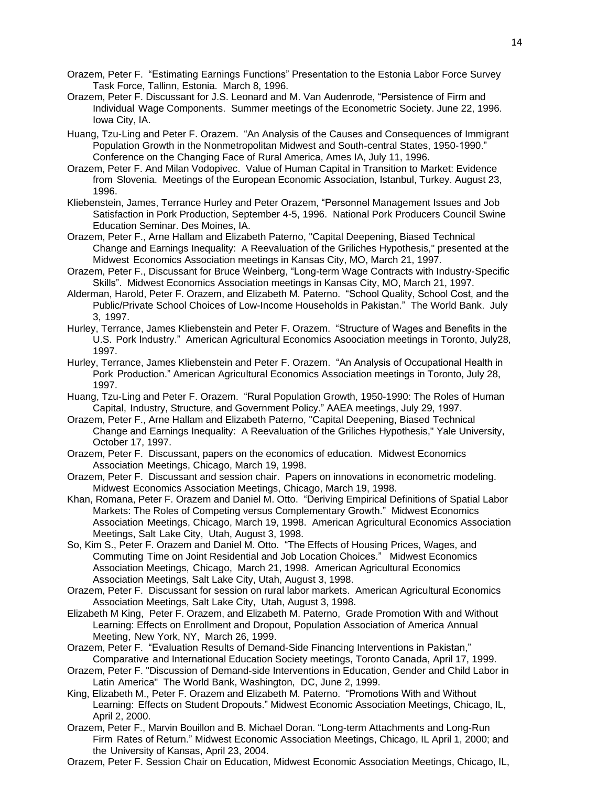- Orazem, Peter F. "Estimating Earnings Functions" Presentation to the Estonia Labor Force Survey Task Force, Tallinn, Estonia. March 8, 1996.
- Orazem, Peter F. Discussant for J.S. Leonard and M. Van Audenrode, "Persistence of Firm and Individual Wage Components. Summer meetings of the Econometric Society. June 22, 1996. Iowa City, IA.
- Huang, Tzu-Ling and Peter F. Orazem. "An Analysis of the Causes and Consequences of Immigrant Population Growth in the Nonmetropolitan Midwest and South-central States, 1950-1990." Conference on the Changing Face of Rural America, Ames IA, July 11, 1996.
- Orazem, Peter F. And Milan Vodopivec. Value of Human Capital in Transition to Market: Evidence from Slovenia. Meetings of the European Economic Association, Istanbul, Turkey. August 23, 1996.
- Kliebenstein, James, Terrance Hurley and Peter Orazem, "Personnel Management Issues and Job Satisfaction in Pork Production, September 4-5, 1996. National Pork Producers Council Swine Education Seminar. Des Moines, IA.
- Orazem, Peter F., Arne Hallam and Elizabeth Paterno, "Capital Deepening, Biased Technical Change and Earnings Inequality: A Reevaluation of the Griliches Hypothesis," presented at the Midwest Economics Association meetings in Kansas City, MO, March 21, 1997.
- Orazem, Peter F., Discussant for Bruce Weinberg, "Long-term Wage Contracts with Industry-Specific Skills". Midwest Economics Association meetings in Kansas City, MO, March 21, 1997.
- Alderman, Harold, Peter F. Orazem, and Elizabeth M. Paterno. "School Quality, School Cost, and the Public/Private School Choices of Low-Income Households in Pakistan." The World Bank. July 3, 1997.
- Hurley, Terrance, James Kliebenstein and Peter F. Orazem. "Structure of Wages and Benefits in the U.S. Pork Industry." American Agricultural Economics Asoociation meetings in Toronto, July28, 1997.
- Hurley, Terrance, James Kliebenstein and Peter F. Orazem. "An Analysis of Occupational Health in Pork Production." American Agricultural Economics Association meetings in Toronto, July 28, 1997.
- Huang, Tzu-Ling and Peter F. Orazem. "Rural Population Growth, 1950-1990: The Roles of Human Capital, Industry, Structure, and Government Policy." AAEA meetings, July 29, 1997.
- Orazem, Peter F., Arne Hallam and Elizabeth Paterno, "Capital Deepening, Biased Technical Change and Earnings Inequality: A Reevaluation of the Griliches Hypothesis," Yale University, October 17, 1997.
- Orazem, Peter F. Discussant, papers on the economics of education. Midwest Economics Association Meetings, Chicago, March 19, 1998.
- Orazem, Peter F. Discussant and session chair. Papers on innovations in econometric modeling. Midwest Economics Association Meetings, Chicago, March 19, 1998.
- Khan, Romana, Peter F. Orazem and Daniel M. Otto. "Deriving Empirical Definitions of Spatial Labor Markets: The Roles of Competing versus Complementary Growth." Midwest Economics Association Meetings, Chicago, March 19, 1998. American Agricultural Economics Association Meetings, Salt Lake City, Utah, August 3, 1998.
- So, Kim S., Peter F. Orazem and Daniel M. Otto. "The Effects of Housing Prices, Wages, and Commuting Time on Joint Residential and Job Location Choices." Midwest Economics Association Meetings, Chicago, March 21, 1998. American Agricultural Economics Association Meetings, Salt Lake City, Utah, August 3, 1998.
- Orazem, Peter F. Discussant for session on rural labor markets. American Agricultural Economics Association Meetings, Salt Lake City, Utah, August 3, 1998.
- Elizabeth M King, Peter F. Orazem, and Elizabeth M. Paterno, Grade Promotion With and Without Learning: Effects on Enrollment and Dropout, Population Association of America Annual Meeting, New York, NY, March 26, 1999.
- Orazem, Peter F. "Evaluation Results of Demand-Side Financing Interventions in Pakistan," Comparative and International Education Society meetings, Toronto Canada, April 17, 1999.
- Orazem, Peter F. "Discussion of Demand-side Interventions in Education, Gender and Child Labor in Latin America" The World Bank, Washington, DC, June 2, 1999.
- King, Elizabeth M., Peter F. Orazem and Elizabeth M. Paterno. "Promotions With and Without Learning: Effects on Student Dropouts." Midwest Economic Association Meetings, Chicago, IL, April 2, 2000.
- Orazem, Peter F., Marvin Bouillon and B. Michael Doran. "Long-term Attachments and Long-Run Firm Rates of Return." Midwest Economic Association Meetings, Chicago, IL April 1, 2000; and the University of Kansas, April 23, 2004.
- Orazem, Peter F. Session Chair on Education, Midwest Economic Association Meetings, Chicago, IL,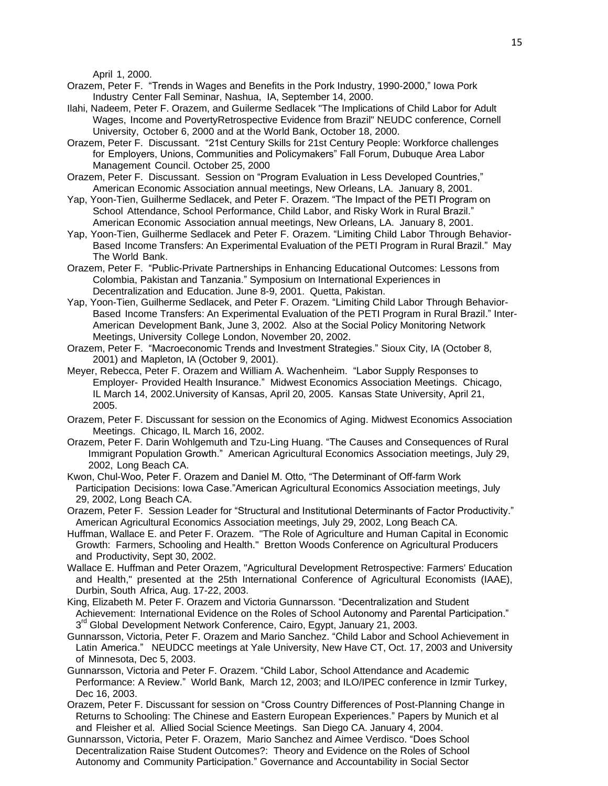April 1, 2000.

- Orazem, Peter F. "Trends in Wages and Benefits in the Pork Industry, 1990-2000," Iowa Pork Industry Center Fall Seminar, Nashua, IA, September 14, 2000.
- Ilahi, Nadeem, Peter F. Orazem, and Guilerme Sedlacek "The Implications of Child Labor for Adult Wages, Income and PovertyRetrospective Evidence from Brazil" NEUDC conference, Cornell University, October 6, 2000 and at the World Bank, October 18, 2000.
- Orazem, Peter F. Discussant. "21st Century Skills for 21st Century People: Workforce challenges for Employers, Unions, Communities and Policymakers" Fall Forum, Dubuque Area Labor Management Council. October 25, 2000
- Orazem, Peter F. Discussant. Session on "Program Evaluation in Less Developed Countries," American Economic Association annual meetings, New Orleans, LA. January 8, 2001.
- Yap, Yoon-Tien, Guilherme Sedlacek, and Peter F. Orazem. "The Impact of the PETI Program on School Attendance, School Performance, Child Labor, and Risky Work in Rural Brazil." American Economic Association annual meetings, New Orleans, LA. January 8, 2001.
- Yap, Yoon-Tien, Guilherme Sedlacek and Peter F. Orazem. "Limiting Child Labor Through Behavior-Based Income Transfers: An Experimental Evaluation of the PETI Program in Rural Brazil." May The World Bank.
- Orazem, Peter F. "Public-Private Partnerships in Enhancing Educational Outcomes: Lessons from Colombia, Pakistan and Tanzania." Symposium on International Experiences in Decentralization and Education. June 8-9, 2001. Quetta, Pakistan.
- Yap, Yoon-Tien, Guilherme Sedlacek, and Peter F. Orazem. "Limiting Child Labor Through Behavior-Based Income Transfers: An Experimental Evaluation of the PETI Program in Rural Brazil." Inter-American Development Bank, June 3, 2002. Also at the Social Policy Monitoring Network Meetings, University College London, November 20, 2002.
- Orazem, Peter F. "Macroeconomic Trends and Investment Strategies." Sioux City, IA (October 8, 2001) and Mapleton, IA (October 9, 2001).
- Meyer, Rebecca, Peter F. Orazem and William A. Wachenheim. "Labor Supply Responses to Employer- Provided Health Insurance." Midwest Economics Association Meetings. Chicago, IL March 14, 2002.University of Kansas, April 20, 2005. Kansas State University, April 21, 2005.
- Orazem, Peter F. Discussant for session on the Economics of Aging. Midwest Economics Association Meetings. Chicago, IL March 16, 2002.
- Orazem, Peter F. Darin Wohlgemuth and Tzu-Ling Huang. "The Causes and Consequences of Rural Immigrant Population Growth." American Agricultural Economics Association meetings, July 29, 2002, Long Beach CA.
- Kwon, Chul-Woo, Peter F. Orazem and Daniel M. Otto, "The Determinant of Off-farm Work Participation Decisions: Iowa Case."American Agricultural Economics Association meetings, July 29, 2002, Long Beach CA.
- Orazem, Peter F. Session Leader for "Structural and Institutional Determinants of Factor Productivity." American Agricultural Economics Association meetings, July 29, 2002, Long Beach CA.
- Huffman, Wallace E. and Peter F. Orazem. "The Role of Agriculture and Human Capital in Economic Growth: Farmers, Schooling and Health." Bretton Woods Conference on Agricultural Producers and Productivity, Sept 30, 2002.
- Wallace E. Huffman and Peter Orazem, "Agricultural Development Retrospective: Farmers' Education and Health," presented at the 25th International Conference of Agricultural Economists (IAAE), Durbin, South Africa, Aug. 17-22, 2003.
- King, Elizabeth M. Peter F. Orazem and Victoria Gunnarsson. "Decentralization and Student Achievement: International Evidence on the Roles of School Autonomy and Parental Participation." 3<sup>rd</sup> Global Development Network Conference, Cairo, Egypt, January 21, 2003.
- Gunnarsson, Victoria, Peter F. Orazem and Mario Sanchez. "Child Labor and School Achievement in Latin America." NEUDCC meetings at Yale University, New Have CT, Oct. 17, 2003 and University of Minnesota, Dec 5, 2003.
- Gunnarsson, Victoria and Peter F. Orazem. "Child Labor, School Attendance and Academic Performance: A Review." World Bank, March 12, 2003; and ILO/IPEC conference in Izmir Turkey, Dec 16, 2003.
- Orazem, Peter F. Discussant for session on "Cross Country Differences of Post-Planning Change in Returns to Schooling: The Chinese and Eastern European Experiences." Papers by Munich et al and Fleisher et al. Allied Social Science Meetings. San Diego CA. January 4, 2004.
- Gunnarsson, Victoria, Peter F. Orazem, Mario Sanchez and Aimee Verdisco. "Does School Decentralization Raise Student Outcomes?: Theory and Evidence on the Roles of School Autonomy and Community Participation." Governance and Accountability in Social Sector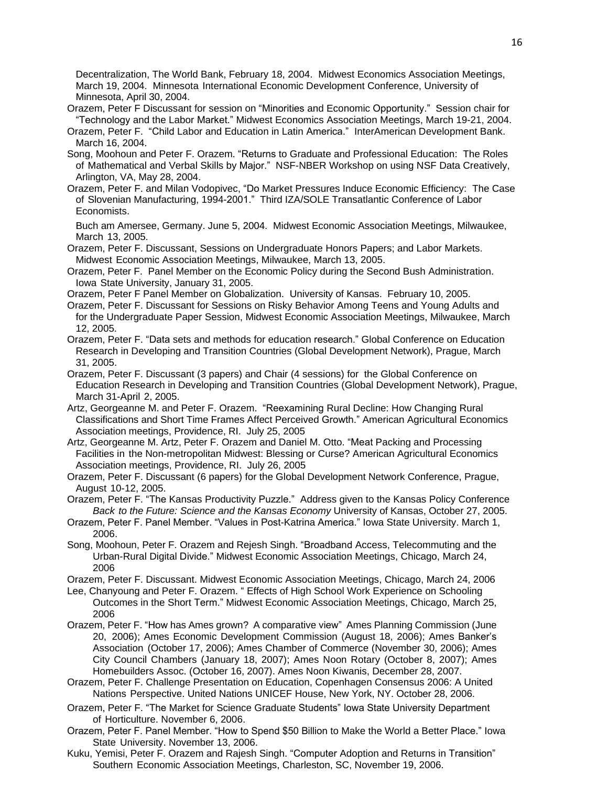Decentralization, The World Bank, February 18, 2004. Midwest Economics Association Meetings, March 19, 2004. Minnesota International Economic Development Conference, University of Minnesota, April 30, 2004.

Orazem, Peter F Discussant for session on "Minorities and Economic Opportunity." Session chair for "Technology and the Labor Market." Midwest Economics Association Meetings, March 19-21, 2004.

- Orazem, Peter F. "Child Labor and Education in Latin America." InterAmerican Development Bank. March 16, 2004.
- Song, Moohoun and Peter F. Orazem. "Returns to Graduate and Professional Education: The Roles of Mathematical and Verbal Skills by Major." NSF-NBER Workshop on using NSF Data Creatively, Arlington, VA, May 28, 2004.
- Orazem, Peter F. and Milan Vodopivec, "Do Market Pressures Induce Economic Efficiency: The Case of Slovenian Manufacturing, 1994-2001." Third IZA/SOLE Transatlantic Conference of Labor Economists.

Buch am Amersee, Germany. June 5, 2004. Midwest Economic Association Meetings, Milwaukee, March 13, 2005.

- Orazem, Peter F. Discussant, Sessions on Undergraduate Honors Papers; and Labor Markets. Midwest Economic Association Meetings, Milwaukee, March 13, 2005.
- Orazem, Peter F. Panel Member on the Economic Policy during the Second Bush Administration. Iowa State University, January 31, 2005.
- Orazem, Peter F Panel Member on Globalization. University of Kansas. February 10, 2005.
- Orazem, Peter F. Discussant for Sessions on Risky Behavior Among Teens and Young Adults and for the Undergraduate Paper Session, Midwest Economic Association Meetings, Milwaukee, March 12, 2005.
- Orazem, Peter F. "Data sets and methods for education research." Global Conference on Education Research in Developing and Transition Countries (Global Development Network), Prague, March 31, 2005.
- Orazem, Peter F. Discussant (3 papers) and Chair (4 sessions) for the Global Conference on Education Research in Developing and Transition Countries (Global Development Network), Prague, March 31-April 2, 2005.
- Artz, Georgeanne M. and Peter F. Orazem. "Reexamining Rural Decline: How Changing Rural Classifications and Short Time Frames Affect Perceived Growth." American Agricultural Economics Association meetings, Providence, RI. July 25, 2005
- Artz, Georgeanne M. Artz, Peter F. Orazem and Daniel M. Otto. "Meat Packing and Processing Facilities in the Non-metropolitan Midwest: Blessing or Curse? American Agricultural Economics Association meetings, Providence, RI. July 26, 2005
- Orazem, Peter F. Discussant (6 papers) for the Global Development Network Conference, Prague, August 10-12, 2005.
- Orazem, Peter F. "The Kansas Productivity Puzzle." Address given to the Kansas Policy Conference *Back to the Future: Science and the Kansas Economy* University of Kansas, October 27, 2005.
- Orazem, Peter F. Panel Member. "Values in Post-Katrina America." Iowa State University. March 1, 2006.
- Song, Moohoun, Peter F. Orazem and Rejesh Singh. "Broadband Access, Telecommuting and the Urban-Rural Digital Divide." Midwest Economic Association Meetings, Chicago, March 24, 2006
- Orazem, Peter F. Discussant. Midwest Economic Association Meetings, Chicago, March 24, 2006
- Lee, Chanyoung and Peter F. Orazem. " Effects of High School Work Experience on Schooling Outcomes in the Short Term." Midwest Economic Association Meetings, Chicago, March 25, 2006
- Orazem, Peter F. "How has Ames grown? A comparative view" Ames Planning Commission (June 20, 2006); Ames Economic Development Commission (August 18, 2006); Ames Banker's Association (October 17, 2006); Ames Chamber of Commerce (November 30, 2006); Ames City Council Chambers (January 18, 2007); Ames Noon Rotary (October 8, 2007); Ames Homebuilders Assoc. (October 16, 2007). Ames Noon Kiwanis, December 28, 2007.
- Orazem, Peter F. Challenge Presentation on Education, Copenhagen Consensus 2006: A United Nations Perspective. United Nations UNICEF House, New York, NY. October 28, 2006.
- Orazem, Peter F. "The Market for Science Graduate Students" Iowa State University Department of Horticulture. November 6, 2006.
- Orazem, Peter F. Panel Member. "How to Spend \$50 Billion to Make the World a Better Place." Iowa State University. November 13, 2006.
- Kuku, Yemisi, Peter F. Orazem and Rajesh Singh. "Computer Adoption and Returns in Transition" Southern Economic Association Meetings, Charleston, SC, November 19, 2006.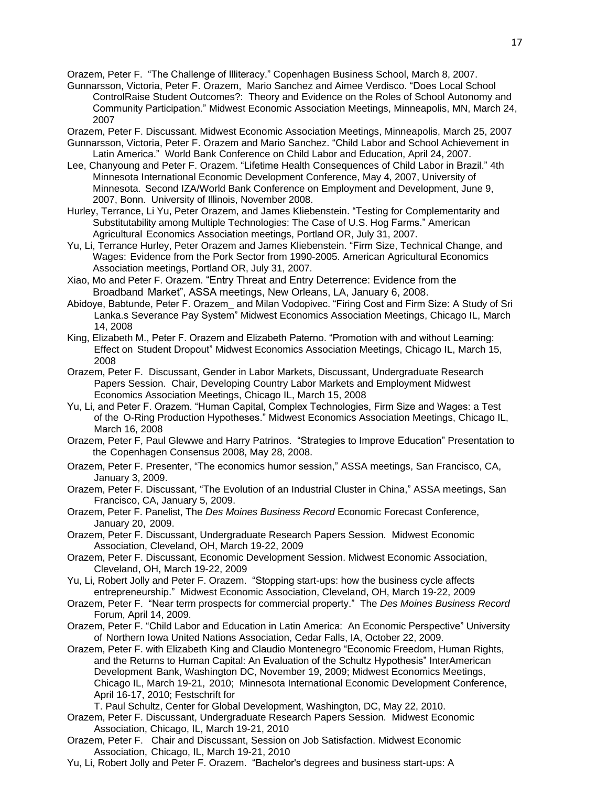Orazem, Peter F. "The Challenge of Illiteracy." Copenhagen Business School, March 8, 2007.

- Gunnarsson, Victoria, Peter F. Orazem, Mario Sanchez and Aimee Verdisco. "Does Local School ControlRaise Student Outcomes?: Theory and Evidence on the Roles of School Autonomy and Community Participation." Midwest Economic Association Meetings, Minneapolis, MN, March 24, 2007
- Orazem, Peter F. Discussant. Midwest Economic Association Meetings, Minneapolis, March 25, 2007 Gunnarsson, Victoria, Peter F. Orazem and Mario Sanchez. "Child Labor and School Achievement in
- Latin America." World Bank Conference on Child Labor and Education, April 24, 2007.
- Lee, Chanyoung and Peter F. Orazem. "Lifetime Health Consequences of Child Labor in Brazil." 4th Minnesota International Economic Development Conference, May 4, 2007, University of Minnesota. Second IZA/World Bank Conference on Employment and Development, June 9, 2007, Bonn. University of Illinois, November 2008.
- Hurley, Terrance, Li Yu, Peter Orazem, and James Kliebenstein. "Testing for Complementarity and Substitutability among Multiple Technologies: The Case of U.S. Hog Farms." American Agricultural Economics Association meetings, Portland OR, July 31, 2007.
- Yu, Li, Terrance Hurley, Peter Orazem and James Kliebenstein. "Firm Size, Technical Change, and Wages: Evidence from the Pork Sector from 1990-2005. American Agricultural Economics Association meetings, Portland OR, July 31, 2007.
- Xiao, Mo and Peter F. Orazem. "Entry Threat and Entry Deterrence: Evidence from the Broadband Market", ASSA meetings, New Orleans, LA, January 6, 2008.
- Abidoye, Babtunde, Peter F. Orazem\_ and Milan Vodopivec. "Firing Cost and Firm Size: A Study of Sri Lanka.s Severance Pay System" Midwest Economics Association Meetings, Chicago IL, March 14, 2008
- King, Elizabeth M., Peter F. Orazem and Elizabeth Paterno. "Promotion with and without Learning: Effect on Student Dropout" Midwest Economics Association Meetings, Chicago IL, March 15, 2008
- Orazem, Peter F. Discussant, Gender in Labor Markets, Discussant, Undergraduate Research Papers Session. Chair, Developing Country Labor Markets and Employment Midwest Economics Association Meetings, Chicago IL, March 15, 2008
- Yu, Li, and Peter F. Orazem. "Human Capital, Complex Technologies, Firm Size and Wages: a Test of the O-Ring Production Hypotheses." Midwest Economics Association Meetings, Chicago IL, March 16, 2008
- Orazem, Peter F, Paul Glewwe and Harry Patrinos. "Strategies to Improve Education" Presentation to the Copenhagen Consensus 2008, May 28, 2008.
- Orazem, Peter F. Presenter, "The economics humor session," ASSA meetings, San Francisco, CA, January 3, 2009.
- Orazem, Peter F. Discussant, "The Evolution of an Industrial Cluster in China," ASSA meetings, San Francisco, CA, January 5, 2009.
- Orazem, Peter F. Panelist, The *Des Moines Business Record* Economic Forecast Conference, January 20, 2009.
- Orazem, Peter F. Discussant, Undergraduate Research Papers Session. Midwest Economic Association, Cleveland, OH, March 19-22, 2009
- Orazem, Peter F. Discussant, Economic Development Session. Midwest Economic Association, Cleveland, OH, March 19-22, 2009
- Yu, Li, Robert Jolly and Peter F. Orazem. "Stopping start-ups: how the business cycle affects entrepreneurship." Midwest Economic Association, Cleveland, OH, March 19-22, 2009
- Orazem, Peter F. "Near term prospects for commercial property." The *Des Moines Business Record* Forum, April 14, 2009.
- Orazem, Peter F. "Child Labor and Education in Latin America: An Economic Perspective" University of Northern Iowa United Nations Association, Cedar Falls, IA, October 22, 2009.
- Orazem, Peter F. with Elizabeth King and Claudio Montenegro "Economic Freedom, Human Rights, and the Returns to Human Capital: An Evaluation of the Schultz Hypothesis" InterAmerican Development Bank, Washington DC, November 19, 2009; Midwest Economics Meetings, Chicago IL, March 19-21, 2010; Minnesota International Economic Development Conference, April 16-17, 2010; Festschrift for
	- T. Paul Schultz, Center for Global Development, Washington, DC, May 22, 2010.
- Orazem, Peter F. Discussant, Undergraduate Research Papers Session. Midwest Economic Association, Chicago, IL, March 19-21, 2010
- Orazem, Peter F. Chair and Discussant, Session on Job Satisfaction. Midwest Economic Association, Chicago, IL, March 19-21, 2010
- Yu, Li, Robert Jolly and Peter F. Orazem. "Bachelor's degrees and business start-ups: A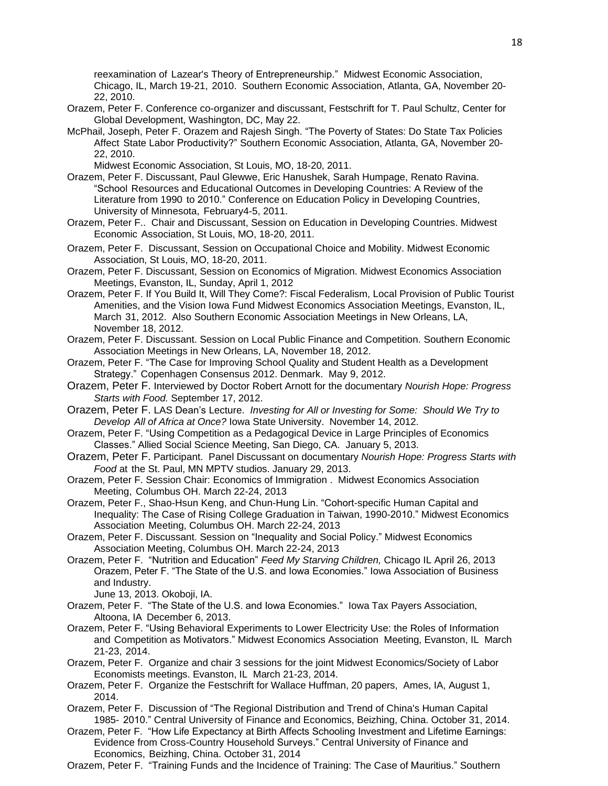reexamination of Lazear's Theory of Entrepreneurship." Midwest Economic Association, Chicago, IL, March 19-21, 2010. Southern Economic Association, Atlanta, GA, November 20- 22, 2010.

- Orazem, Peter F. Conference co-organizer and discussant, Festschrift for T. Paul Schultz, Center for Global Development, Washington, DC, May 22.
- McPhail, Joseph, Peter F. Orazem and Rajesh Singh. "The Poverty of States: Do State Tax Policies Affect State Labor Productivity?" Southern Economic Association, Atlanta, GA, November 20- 22, 2010.

Midwest Economic Association, St Louis, MO, 18-20, 2011.

- Orazem, Peter F. Discussant, Paul Glewwe, Eric Hanushek, Sarah Humpage, Renato Ravina. "School Resources and Educational Outcomes in Developing Countries: A Review of the Literature from 1990 to 2010." Conference on Education Policy in Developing Countries, University of Minnesota, February4-5, 2011.
- Orazem, Peter F.. Chair and Discussant, Session on Education in Developing Countries. Midwest Economic Association, St Louis, MO, 18-20, 2011.
- Orazem, Peter F. Discussant, Session on Occupational Choice and Mobility. Midwest Economic Association, St Louis, MO, 18-20, 2011.
- Orazem, Peter F. Discussant, Session on Economics of Migration. Midwest Economics Association Meetings, Evanston, IL, Sunday, April 1, 2012
- Orazem, Peter F. If You Build It, Will They Come?: Fiscal Federalism, Local Provision of Public Tourist Amenities, and the Vision Iowa Fund Midwest Economics Association Meetings, Evanston, IL, March 31, 2012. Also Southern Economic Association Meetings in New Orleans, LA, November 18, 2012.
- Orazem, Peter F. Discussant. Session on Local Public Finance and Competition. Southern Economic Association Meetings in New Orleans, LA, November 18, 2012.
- Orazem, Peter F. "The Case for Improving School Quality and Student Health as a Development Strategy." Copenhagen Consensus 2012. Denmark. May 9, 2012.
- Orazem, Peter F. Interviewed by Doctor Robert Arnott for the documentary *Nourish Hope: Progress Starts with Food.* September 17, 2012.
- Orazem, Peter F. LAS Dean's Lecture. *Investing for All or Investing for Some: Should We Try to Develop All of Africa at Once?* Iowa State University. November 14, 2012.
- Orazem, Peter F. "Using Competition as a Pedagogical Device in Large Principles of Economics Classes." Allied Social Science Meeting, San Diego, CA. January 5, 2013.
- Orazem, Peter F. Participant. Panel Discussant on documentary *Nourish Hope: Progress Starts with Food* at the St. Paul, MN MPTV studios. January 29, 2013.
- Orazem, Peter F. Session Chair: Economics of Immigration . Midwest Economics Association Meeting, Columbus OH. March 22-24, 2013
- Orazem, Peter F., Shao-Hsun Keng, and Chun-Hung Lin. "Cohort-specific Human Capital and Inequality: The Case of Rising College Graduation in Taiwan, 1990-2010." Midwest Economics Association Meeting, Columbus OH. March 22-24, 2013
- Orazem, Peter F. Discussant. Session on "Inequality and Social Policy." Midwest Economics Association Meeting, Columbus OH. March 22-24, 2013
- Orazem, Peter F. "Nutrition and Education" *Feed My Starving Children,* Chicago IL April 26, 2013 Orazem, Peter F. "The State of the U.S. and Iowa Economies." Iowa Association of Business and Industry.
	- June 13, 2013. Okoboji, IA.
- Orazem, Peter F. "The State of the U.S. and Iowa Economies." Iowa Tax Payers Association, Altoona, IA December 6, 2013.
- Orazem, Peter F. "Using Behavioral Experiments to Lower Electricity Use: the Roles of Information and Competition as Motivators." Midwest Economics Association Meeting, Evanston, IL March 21-23, 2014.
- Orazem, Peter F. Organize and chair 3 sessions for the joint Midwest Economics/Society of Labor Economists meetings. Evanston, IL March 21-23, 2014.
- Orazem, Peter F. Organize the Festschrift for Wallace Huffman, 20 papers, Ames, IA, August 1, 2014.
- Orazem, Peter F. Discussion of "The Regional Distribution and Trend of China's Human Capital 1985- 2010." Central University of Finance and Economics, Beizhing, China. October 31, 2014.
- Orazem, Peter F. "How Life Expectancy at Birth Affects Schooling Investment and Lifetime Earnings: Evidence from Cross-Country Household Surveys." Central University of Finance and Economics, Beizhing, China. October 31, 2014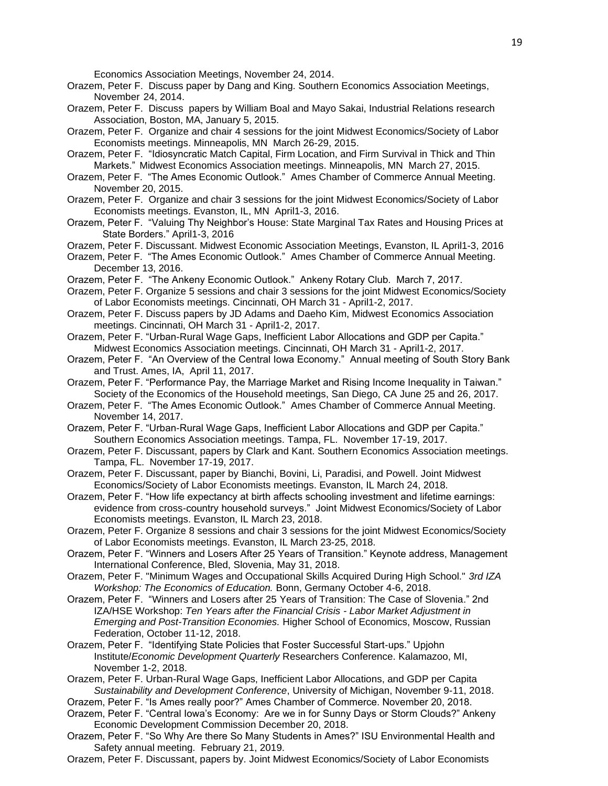Economics Association Meetings, November 24, 2014.

- Orazem, Peter F. Discuss paper by Dang and King. Southern Economics Association Meetings, November 24, 2014.
- Orazem, Peter F. Discuss papers by William Boal and Mayo Sakai, Industrial Relations research Association, Boston, MA, January 5, 2015.
- Orazem, Peter F. Organize and chair 4 sessions for the joint Midwest Economics/Society of Labor Economists meetings. Minneapolis, MN March 26-29, 2015.
- Orazem, Peter F. "Idiosyncratic Match Capital, Firm Location, and Firm Survival in Thick and Thin Markets." Midwest Economics Association meetings. Minneapolis, MN March 27, 2015.
- Orazem, Peter F. "The Ames Economic Outlook." Ames Chamber of Commerce Annual Meeting. November 20, 2015.
- Orazem, Peter F. Organize and chair 3 sessions for the joint Midwest Economics/Society of Labor Economists meetings. Evanston, IL, MN April1-3, 2016.
- Orazem, Peter F. "Valuing Thy Neighbor's House: State Marginal Tax Rates and Housing Prices at State Borders." April1-3, 2016
- Orazem, Peter F. Discussant. Midwest Economic Association Meetings, Evanston, IL April1-3, 2016
- Orazem, Peter F. "The Ames Economic Outlook." Ames Chamber of Commerce Annual Meeting. December 13, 2016.
- Orazem, Peter F. "The Ankeny Economic Outlook." Ankeny Rotary Club. March 7, 2017.
- Orazem, Peter F. Organize 5 sessions and chair 3 sessions for the joint Midwest Economics/Society of Labor Economists meetings. Cincinnati, OH March 31 - April1-2, 2017.
- Orazem, Peter F. Discuss papers by JD Adams and Daeho Kim, Midwest Economics Association meetings. Cincinnati, OH March 31 - April1-2, 2017.
- Orazem, Peter F. "Urban-Rural Wage Gaps, Inefficient Labor Allocations and GDP per Capita." Midwest Economics Association meetings. Cincinnati, OH March 31 - April1-2, 2017.
- Orazem, Peter F. "An Overview of the Central Iowa Economy." Annual meeting of South Story Bank and Trust. Ames, IA, April 11, 2017.
- Orazem, Peter F. "Performance Pay, the Marriage Market and Rising Income Inequality in Taiwan." Society of the Economics of the Household meetings, San Diego, CA June 25 and 26, 2017.
- Orazem, Peter F. "The Ames Economic Outlook." Ames Chamber of Commerce Annual Meeting. November 14, 2017.
- Orazem, Peter F. "Urban-Rural Wage Gaps, Inefficient Labor Allocations and GDP per Capita." Southern Economics Association meetings. Tampa, FL. November 17-19, 2017.
- Orazem, Peter F. Discussant, papers by Clark and Kant. Southern Economics Association meetings. Tampa, FL. November 17-19, 2017.
- Orazem, Peter F. Discussant, paper by Bianchi, Bovini, Li, Paradisi, and Powell. Joint Midwest Economics/Society of Labor Economists meetings. Evanston, IL March 24, 2018.
- Orazem, Peter F. "How life expectancy at birth affects schooling investment and lifetime earnings: evidence from cross-country household surveys." Joint Midwest Economics/Society of Labor Economists meetings. Evanston, IL March 23, 2018.
- Orazem, Peter F. Organize 8 sessions and chair 3 sessions for the joint Midwest Economics/Society of Labor Economists meetings. Evanston, IL March 23-25, 2018.
- Orazem, Peter F. "Winners and Losers After 25 Years of Transition." Keynote address, Management International Conference, Bled, Slovenia, May 31, 2018.
- Orazem, Peter F. "Minimum Wages and Occupational Skills Acquired During High School." *3rd IZA Workshop: The Economics of Education.* Bonn, Germany October 4-6, 2018.
- Orazem, Peter F. "Winners and Losers after 25 Years of Transition: The Case of Slovenia." 2nd IZA/HSE Workshop: *Ten Years after the Financial Crisis - Labor Market Adjustment in Emerging and Post-Transition Economies.* Higher School of Economics, Moscow, Russian Federation, October 11-12, 2018.
- Orazem, Peter F. "Identifying State Policies that Foster Successful Start-ups." Upjohn Institute/*Economic Development Quarterly* Researchers Conference. Kalamazoo, MI, November 1-2, 2018.
- Orazem, Peter F. Urban-Rural Wage Gaps, Inefficient Labor Allocations, and GDP per Capita *Sustainability and Development Conference*, University of Michigan, November 9-11, 2018.
- Orazem, Peter F. "Is Ames really poor?" Ames Chamber of Commerce. November 20, 2018.
- Orazem, Peter F. "Central Iowa's Economy: Are we in for Sunny Days or Storm Clouds?" Ankeny Economic Development Commission December 20, 2018.
- Orazem, Peter F. "So Why Are there So Many Students in Ames?" ISU Environmental Health and Safety annual meeting. February 21, 2019.
- Orazem, Peter F. Discussant, papers by. Joint Midwest Economics/Society of Labor Economists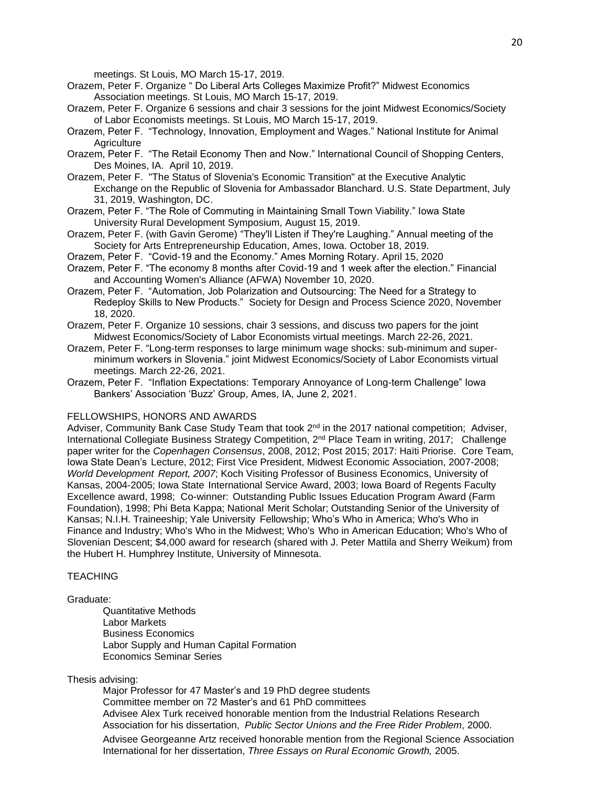meetings. St Louis, MO March 15-17, 2019.

- Orazem, Peter F. Organize " Do Liberal Arts Colleges Maximize Profit?" Midwest Economics Association meetings. St Louis, MO March 15-17, 2019.
- Orazem, Peter F. Organize 6 sessions and chair 3 sessions for the joint Midwest Economics/Society of Labor Economists meetings. St Louis, MO March 15-17, 2019.
- Orazem, Peter F. "Technology, Innovation, Employment and Wages." National Institute for Animal **Agriculture**
- Orazem, Peter F. "The Retail Economy Then and Now." International Council of Shopping Centers, Des Moines, IA. April 10, 2019.
- Orazem, Peter F. "The Status of Slovenia's Economic Transition" at the Executive Analytic Exchange on the Republic of Slovenia for Ambassador Blanchard. U.S. State Department, July 31, 2019, Washington, DC.
- Orazem, Peter F. "The Role of Commuting in Maintaining Small Town Viability." Iowa State University Rural Development Symposium, August 15, 2019.
- Orazem, Peter F. (with Gavin Gerome) "They'll Listen if They're Laughing." Annual meeting of the Society for Arts Entrepreneurship Education, Ames, Iowa. October 18, 2019.
- Orazem, Peter F. "Covid-19 and the Economy." Ames Morning Rotary. April 15, 2020
- Orazem, Peter F. "The economy 8 months after Covid-19 and 1 week after the election." Financial and Accounting Women's Alliance (AFWA) November 10, 2020.
- Orazem, Peter F. "Automation, Job Polarization and Outsourcing: The Need for a Strategy to Redeploy Skills to New Products." Society for Design and Process Science 2020, November 18, 2020.
- Orazem, Peter F. Organize 10 sessions, chair 3 sessions, and discuss two papers for the joint Midwest Economics/Society of Labor Economists virtual meetings. March 22-26, 2021.
- Orazem, Peter F. "Long-term responses to large minimum wage shocks: sub-minimum and superminimum workers in Slovenia." joint Midwest Economics/Society of Labor Economists virtual meetings. March 22-26, 2021.
- Orazem, Peter F. "Inflation Expectations: Temporary Annoyance of Long-term Challenge" Iowa Bankers' Association 'Buzz' Group, Ames, IA, June 2, 2021.

### FELLOWSHIPS, HONORS AND AWARDS

Adviser, Community Bank Case Study Team that took 2<sup>nd</sup> in the 2017 national competition; Adviser, International Collegiate Business Strategy Competition, 2<sup>nd</sup> Place Team in writing, 2017; Challenge paper writer for the *Copenhagen Consensus*, 2008, 2012; Post 2015; 2017: Haïti Priorise. Core Team, Iowa State Dean's Lecture, 2012; First Vice President, Midwest Economic Association, 2007-2008; *World Development Report, 2007*; Koch Visiting Professor of Business Economics, University of Kansas, 2004-2005; Iowa State International Service Award, 2003; Iowa Board of Regents Faculty Excellence award, 1998; Co-winner: Outstanding Public Issues Education Program Award (Farm Foundation), 1998; Phi Beta Kappa; National Merit Scholar; Outstanding Senior of the University of Kansas; N.I.H. Traineeship; Yale University Fellowship; Who's Who in America; Who's Who in Finance and Industry; Who's Who in the Midwest; Who's Who in American Education; Who's Who of Slovenian Descent; \$4,000 award for research (shared with J. Peter Mattila and Sherry Weikum) from the Hubert H. Humphrey Institute, University of Minnesota.

# **TEACHING**

#### Graduate:

Quantitative Methods Labor Markets Business Economics Labor Supply and Human Capital Formation Economics Seminar Series

### Thesis advising:

Major Professor for 47 Master's and 19 PhD degree students Committee member on 72 Master's and 61 PhD committees Advisee Alex Turk received honorable mention from the Industrial Relations Research Association for his dissertation, *Public Sector Unions and the Free Rider Problem*, 2000.

Advisee Georgeanne Artz received honorable mention from the Regional Science Association International for her dissertation, *Three Essays on Rural Economic Growth,* 2005.